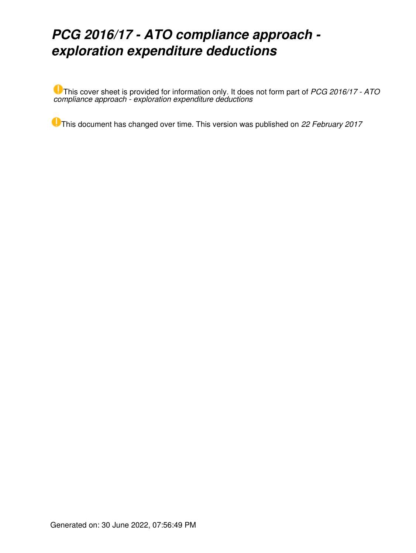# *PCG 2016/17 - ATO compliance approach exploration expenditure deductions*

This cover sheet is provided for information only. It does not form part of *PCG 2016/17 - ATO compliance approach - exploration expenditure deductions*

This document has changed over time. This version was published on *22 February 2017*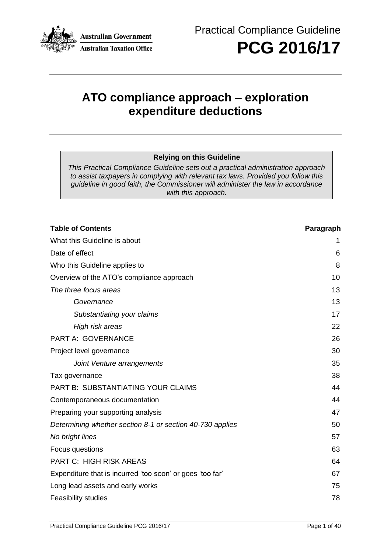

**PCG 2016/17**

## **ATO compliance approach – exploration expenditure deductions**

#### **Relying on this Guideline**

*This Practical Compliance Guideline sets out a practical administration approach to assist taxpayers in complying with relevant tax laws. Provided you follow this guideline in good faith, the Commissioner will administer the law in accordance with this approach.*

### **Table of Contents Paragraph**

| What this Guideline is about                              | 1  |
|-----------------------------------------------------------|----|
| Date of effect                                            | 6  |
| Who this Guideline applies to                             | 8  |
| Overview of the ATO's compliance approach                 | 10 |
| The three focus areas                                     | 13 |
| Governance                                                | 13 |
| Substantiating your claims                                | 17 |
| High risk areas                                           | 22 |
| PART A: GOVERNANCE                                        | 26 |
| Project level governance                                  | 30 |
| Joint Venture arrangements                                | 35 |
| Tax governance                                            | 38 |
| PART B: SUBSTANTIATING YOUR CLAIMS                        | 44 |
| Contemporaneous documentation                             | 44 |
| Preparing your supporting analysis                        | 47 |
| Determining whether section 8-1 or section 40-730 applies | 50 |
| No bright lines                                           | 57 |
| Focus questions                                           | 63 |
| <b>PART C: HIGH RISK AREAS</b>                            | 64 |
| Expenditure that is incurred 'too soon' or goes 'too far' | 67 |
| Long lead assets and early works                          | 75 |
| <b>Feasibility studies</b>                                | 78 |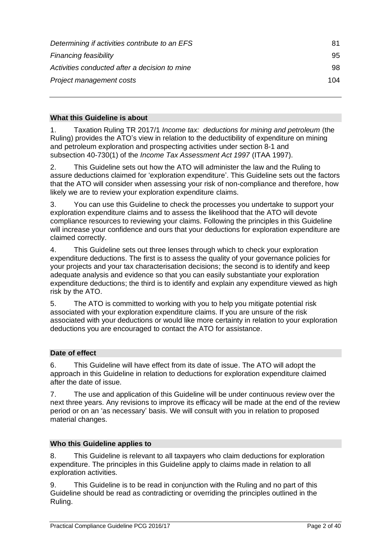| Determining if activities contribute to an EFS | 81  |
|------------------------------------------------|-----|
| <b>Financing feasibility</b>                   | 95  |
| Activities conducted after a decision to mine  | 98  |
| Project management costs                       | 104 |

## **What this Guideline is about**

1. Taxation Ruling TR 2017/1 *Income tax: deductions for mining and petroleum* (the Ruling) provides the ATO's view in relation to the deductibility of expenditure on mining and petroleum exploration and prospecting activities under section 8-1 and subsection 40-730(1) of the *Income Tax Assessment Act 1997* (ITAA 1997).

2. This Guideline sets out how the ATO will administer the law and the Ruling to assure deductions claimed for 'exploration expenditure'. This Guideline sets out the factors that the ATO will consider when assessing your risk of non-compliance and therefore, how likely we are to review your exploration expenditure claims.

3. You can use this Guideline to check the processes you undertake to support your exploration expenditure claims and to assess the likelihood that the ATO will devote compliance resources to reviewing your claims. Following the principles in this Guideline will increase your confidence and ours that your deductions for exploration expenditure are claimed correctly.

4. This Guideline sets out three lenses through which to check your exploration expenditure deductions. The first is to assess the quality of your governance policies for your projects and your tax characterisation decisions; the second is to identify and keep adequate analysis and evidence so that you can easily substantiate your exploration expenditure deductions; the third is to identify and explain any expenditure viewed as high risk by the ATO.

5. The ATO is committed to working with you to help you mitigate potential risk associated with your exploration expenditure claims. If you are unsure of the risk associated with your deductions or would like more certainty in relation to your exploration deductions you are encouraged to contact the ATO for assistance.

## **Date of effect**

6. This Guideline will have effect from its date of issue. The ATO will adopt the approach in this Guideline in relation to deductions for exploration expenditure claimed after the date of issue.

7. The use and application of this Guideline will be under continuous review over the next three years. Any revisions to improve its efficacy will be made at the end of the review period or on an 'as necessary' basis. We will consult with you in relation to proposed material changes.

#### **Who this Guideline applies to**

8. This Guideline is relevant to all taxpayers who claim deductions for exploration expenditure. The principles in this Guideline apply to claims made in relation to all exploration activities.

9. This Guideline is to be read in conjunction with the Ruling and no part of this Guideline should be read as contradicting or overriding the principles outlined in the Ruling.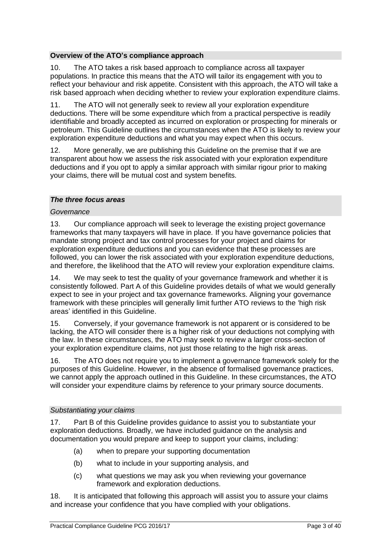#### **Overview of the ATO's compliance approach**

10. The ATO takes a risk based approach to compliance across all taxpayer populations. In practice this means that the ATO will tailor its engagement with you to reflect your behaviour and risk appetite. Consistent with this approach, the ATO will take a risk based approach when deciding whether to review your exploration expenditure claims.

11. The ATO will not generally seek to review all your exploration expenditure deductions. There will be some expenditure which from a practical perspective is readily identifiable and broadly accepted as incurred on exploration or prospecting for minerals or petroleum. This Guideline outlines the circumstances when the ATO is likely to review your exploration expenditure deductions and what you may expect when this occurs.

12. More generally, we are publishing this Guideline on the premise that if we are transparent about how we assess the risk associated with your exploration expenditure deductions and if you opt to apply a similar approach with similar rigour prior to making your claims, there will be mutual cost and system benefits.

#### *The three focus areas*

#### *Governance*

13. Our compliance approach will seek to leverage the existing project governance frameworks that many taxpayers will have in place. If you have governance policies that mandate strong project and tax control processes for your project and claims for exploration expenditure deductions and you can evidence that these processes are followed, you can lower the risk associated with your exploration expenditure deductions, and therefore, the likelihood that the ATO will review your exploration expenditure claims.

14. We may seek to test the quality of your governance framework and whether it is consistently followed. Part A of this Guideline provides details of what we would generally expect to see in your project and tax governance frameworks. Aligning your governance framework with these principles will generally limit further ATO reviews to the 'high risk areas' identified in this Guideline.

15. Conversely, if your governance framework is not apparent or is considered to be lacking, the ATO will consider there is a higher risk of your deductions not complying with the law. In these circumstances, the ATO may seek to review a larger cross-section of your exploration expenditure claims, not just those relating to the high risk areas.

16. The ATO does not require you to implement a governance framework solely for the purposes of this Guideline. However, in the absence of formalised governance practices, we cannot apply the approach outlined in this Guideline. In these circumstances, the ATO will consider your expenditure claims by reference to your primary source documents.

#### *Substantiating your claims*

17. Part B of this Guideline provides guidance to assist you to substantiate your exploration deductions. Broadly, we have included guidance on the analysis and documentation you would prepare and keep to support your claims, including:

- (a) when to prepare your supporting documentation
- (b) what to include in your supporting analysis, and
- (c) what questions we may ask you when reviewing your governance framework and exploration deductions.

18. It is anticipated that following this approach will assist you to assure your claims and increase your confidence that you have complied with your obligations.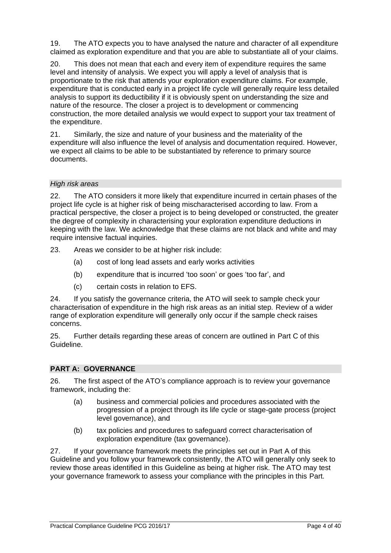19. The ATO expects you to have analysed the nature and character of all expenditure claimed as exploration expenditure and that you are able to substantiate all of your claims.

20. This does not mean that each and every item of expenditure requires the same level and intensity of analysis. We expect you will apply a level of analysis that is proportionate to the risk that attends your exploration expenditure claims. For example, expenditure that is conducted early in a project life cycle will generally require less detailed analysis to support its deductibility if it is obviously spent on understanding the size and nature of the resource. The closer a project is to development or commencing construction, the more detailed analysis we would expect to support your tax treatment of the expenditure.

21. Similarly, the size and nature of your business and the materiality of the expenditure will also influence the level of analysis and documentation required. However, we expect all claims to be able to be substantiated by reference to primary source documents.

#### *High risk areas*

22. The ATO considers it more likely that expenditure incurred in certain phases of the project life cycle is at higher risk of being mischaracterised according to law. From a practical perspective, the closer a project is to being developed or constructed, the greater the degree of complexity in characterising your exploration expenditure deductions in keeping with the law. We acknowledge that these claims are not black and white and may require intensive factual inquiries.

23. Areas we consider to be at higher risk include:

- (a) cost of long lead assets and early works activities
- (b) expenditure that is incurred 'too soon' or goes 'too far', and
- (c) certain costs in relation to EFS.

24. If you satisfy the governance criteria, the ATO will seek to sample check your characterisation of expenditure in the high risk areas as an initial step. Review of a wider range of exploration expenditure will generally only occur if the sample check raises concerns.

25. Further details regarding these areas of concern are outlined in Part C of this Guideline.

## **PART A: GOVERNANCE**

26. The first aspect of the ATO's compliance approach is to review your governance framework, including the:

- (a) business and commercial policies and procedures associated with the progression of a project through its life cycle or stage-gate process (project level governance), and
- (b) tax policies and procedures to safeguard correct characterisation of exploration expenditure (tax governance).

27. If your governance framework meets the principles set out in Part A of this Guideline and you follow your framework consistently, the ATO will generally only seek to review those areas identified in this Guideline as being at higher risk. The ATO may test your governance framework to assess your compliance with the principles in this Part.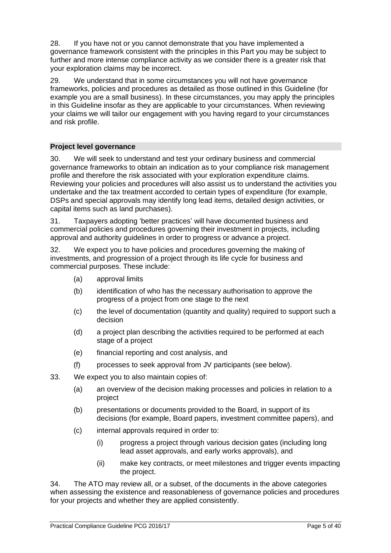28. If you have not or you cannot demonstrate that you have implemented a governance framework consistent with the principles in this Part you may be subject to further and more intense compliance activity as we consider there is a greater risk that your exploration claims may be incorrect.

29. We understand that in some circumstances you will not have governance frameworks, policies and procedures as detailed as those outlined in this Guideline (for example you are a small business). In these circumstances, you may apply the principles in this Guideline insofar as they are applicable to your circumstances. When reviewing your claims we will tailor our engagement with you having regard to your circumstances and risk profile.

#### **Project level governance**

30. We will seek to understand and test your ordinary business and commercial governance frameworks to obtain an indication as to your compliance risk management profile and therefore the risk associated with your exploration expenditure claims. Reviewing your policies and procedures will also assist us to understand the activities you undertake and the tax treatment accorded to certain types of expenditure (for example, DSPs and special approvals may identify long lead items, detailed design activities, or capital items such as land purchases).

31. Taxpayers adopting 'better practices' will have documented business and commercial policies and procedures governing their investment in projects, including approval and authority guidelines in order to progress or advance a project.

32. We expect you to have policies and procedures governing the making of investments, and progression of a project through its life cycle for business and commercial purposes. These include:

- (a) approval limits
- (b) identification of who has the necessary authorisation to approve the progress of a project from one stage to the next
- (c) the level of documentation (quantity and quality) required to support such a decision
- (d) a project plan describing the activities required to be performed at each stage of a project
- (e) financial reporting and cost analysis, and
- (f) processes to seek approval from JV participants (see below).
- 33. We expect you to also maintain copies of:
	- (a) an overview of the decision making processes and policies in relation to a project
	- (b) presentations or documents provided to the Board, in support of its decisions (for example, Board papers, investment committee papers), and
	- (c) internal approvals required in order to:
		- (i) progress a project through various decision gates (including long lead asset approvals, and early works approvals), and
		- (ii) make key contracts, or meet milestones and trigger events impacting the project.

34. The ATO may review all, or a subset, of the documents in the above categories when assessing the existence and reasonableness of governance policies and procedures for your projects and whether they are applied consistently.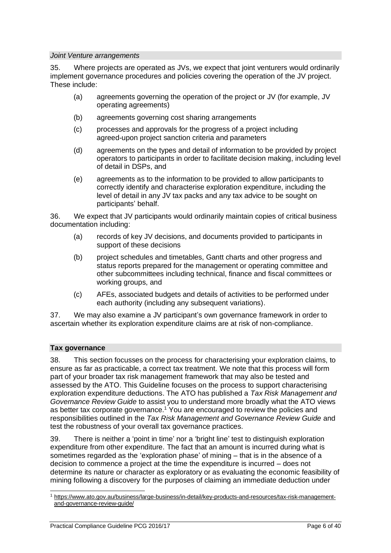#### *Joint Venture arrangements*

35. Where projects are operated as JVs, we expect that joint venturers would ordinarily implement governance procedures and policies covering the operation of the JV project. These include:

- (a) agreements governing the operation of the project or JV (for example, JV operating agreements)
- (b) agreements governing cost sharing arrangements
- (c) processes and approvals for the progress of a project including agreed-upon project sanction criteria and parameters
- (d) agreements on the types and detail of information to be provided by project operators to participants in order to facilitate decision making, including level of detail in DSPs, and
- (e) agreements as to the information to be provided to allow participants to correctly identify and characterise exploration expenditure, including the level of detail in any JV tax packs and any tax advice to be sought on participants' behalf.

36. We expect that JV participants would ordinarily maintain copies of critical business documentation including:

- (a) records of key JV decisions, and documents provided to participants in support of these decisions
- (b) project schedules and timetables, Gantt charts and other progress and status reports prepared for the management or operating committee and other subcommittees including technical, finance and fiscal committees or working groups, and
- (c) AFEs, associated budgets and details of activities to be performed under each authority (including any subsequent variations).

37. We may also examine a JV participant's own governance framework in order to ascertain whether its exploration expenditure claims are at risk of non-compliance.

## **Tax governance**

38. This section focusses on the process for characterising your exploration claims, to ensure as far as practicable, a correct tax treatment. We note that this process will form part of your broader tax risk management framework that may also be tested and assessed by the ATO. This Guideline focuses on the process to support characterising exploration expenditure deductions. The ATO has published a *Tax Risk Management and Governance Review Guide* to assist you to understand more broadly what the ATO views as better tax corporate governance.<sup>1</sup> You are encouraged to review the policies and responsibilities outlined in the *Tax Risk Management and Governance Review Guide* and test the robustness of your overall tax governance practices.

39. There is neither a 'point in time' nor a 'bright line' test to distinguish exploration expenditure from other expenditure. The fact that an amount is incurred during what is sometimes regarded as the 'exploration phase' of mining – that is in the absence of a decision to commence a project at the time the expenditure is incurred – does not determine its nature or character as exploratory or as evaluating the economic feasibility of mining following a discovery for the purposes of claiming an immediate deduction under

<sup>1</sup> [https://www.ato.gov.au/business/large-business/in-detail/key-products-and-resources/tax-risk-management](https://www.ato.gov.au/business/large-business/in-detail/key-products-and-resources/tax-risk-management-and-governance-review-guide/)[and-governance-review-guide/](https://www.ato.gov.au/business/large-business/in-detail/key-products-and-resources/tax-risk-management-and-governance-review-guide/)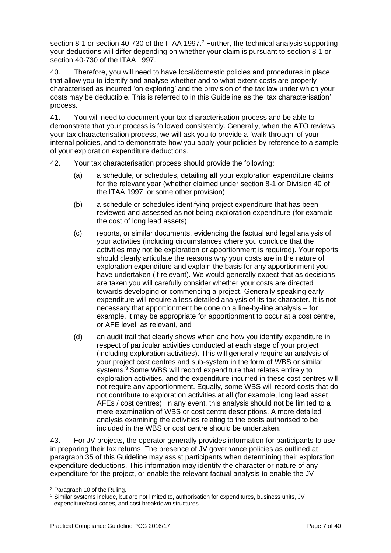section 8-1 or section 40-730 of the ITAA 1997.<sup>2</sup> Further, the technical analysis supporting your deductions will differ depending on whether your claim is pursuant to section 8-1 or section 40-730 of the ITAA 1997.

40. Therefore, you will need to have local/domestic policies and procedures in place that allow you to identify and analyse whether and to what extent costs are properly characterised as incurred 'on exploring' and the provision of the tax law under which your costs may be deductible. This is referred to in this Guideline as the 'tax characterisation' process.

41. You will need to document your tax characterisation process and be able to demonstrate that your process is followed consistently. Generally, when the ATO reviews your tax characterisation process, we will ask you to provide a 'walk-through' of your internal policies, and to demonstrate how you apply your policies by reference to a sample of your exploration expenditure deductions.

- 42. Your tax characterisation process should provide the following:
	- (a) a schedule, or schedules, detailing **all** your exploration expenditure claims for the relevant year (whether claimed under section 8-1 or Division 40 of the ITAA 1997, or some other provision)
	- (b) a schedule or schedules identifying project expenditure that has been reviewed and assessed as not being exploration expenditure (for example, the cost of long lead assets)
	- (c) reports, or similar documents, evidencing the factual and legal analysis of your activities (including circumstances where you conclude that the activities may not be exploration or apportionment is required). Your reports should clearly articulate the reasons why your costs are in the nature of exploration expenditure and explain the basis for any apportionment you have undertaken (if relevant). We would generally expect that as decisions are taken you will carefully consider whether your costs are directed towards developing or commencing a project. Generally speaking early expenditure will require a less detailed analysis of its tax character. It is not necessary that apportionment be done on a line-by-line analysis – for example, it may be appropriate for apportionment to occur at a cost centre, or AFE level, as relevant, and
	- (d) an audit trail that clearly shows when and how you identify expenditure in respect of particular activities conducted at each stage of your project (including exploration activities). This will generally require an analysis of your project cost centres and sub-system in the form of WBS or similar systems.<sup>3</sup> Some WBS will record expenditure that relates entirely to exploration activities, and the expenditure incurred in these cost centres will not require any apportionment. Equally, some WBS will record costs that do not contribute to exploration activities at all (for example, long lead asset AFEs / cost centres). In any event, this analysis should not be limited to a mere examination of WBS or cost centre descriptions. A more detailed analysis examining the activities relating to the costs authorised to be included in the WBS or cost centre should be undertaken.

43. For JV projects, the operator generally provides information for participants to use in preparing their tax returns. The presence of JV governance policies as outlined at paragraph 35 of this Guideline may assist participants when determining their exploration expenditure deductions. This information may identify the character or nature of any expenditure for the project, or enable the relevant factual analysis to enable the JV

<sup>2</sup> Paragraph 10 of the Ruling.

<sup>3</sup> Similar systems include, but are not limited to, authorisation for expenditures, business units, JV expenditure/cost codes, and cost breakdown structures.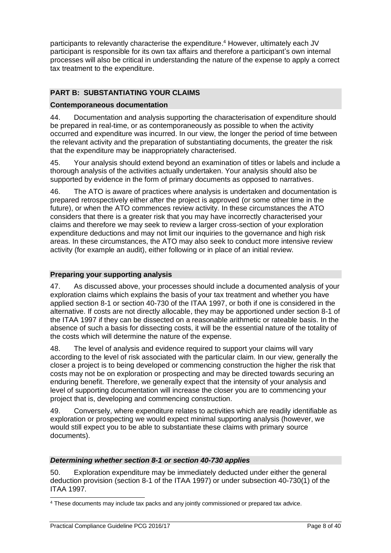participants to relevantly characterise the expenditure. <sup>4</sup> However, ultimately each JV participant is responsible for its own tax affairs and therefore a participant's own internal processes will also be critical in understanding the nature of the expense to apply a correct tax treatment to the expenditure.

## **PART B: SUBSTANTIATING YOUR CLAIMS**

#### **Contemporaneous documentation**

44. Documentation and analysis supporting the characterisation of expenditure should be prepared in real-time, or as contemporaneously as possible to when the activity occurred and expenditure was incurred. In our view, the longer the period of time between the relevant activity and the preparation of substantiating documents, the greater the risk that the expenditure may be inappropriately characterised.

45. Your analysis should extend beyond an examination of titles or labels and include a thorough analysis of the activities actually undertaken. Your analysis should also be supported by evidence in the form of primary documents as opposed to narratives.

46. The ATO is aware of practices where analysis is undertaken and documentation is prepared retrospectively either after the project is approved (or some other time in the future), or when the ATO commences review activity. In these circumstances the ATO considers that there is a greater risk that you may have incorrectly characterised your claims and therefore we may seek to review a larger cross-section of your exploration expenditure deductions and may not limit our inquiries to the governance and high risk areas. In these circumstances, the ATO may also seek to conduct more intensive review activity (for example an audit), either following or in place of an initial review.

#### **Preparing your supporting analysis**

47. As discussed above, your processes should include a documented analysis of your exploration claims which explains the basis of your tax treatment and whether you have applied section 8-1 or section 40-730 of the ITAA 1997, or both if one is considered in the alternative. If costs are not directly allocable, they may be apportioned under section 8-1 of the ITAA 1997 if they can be dissected on a reasonable arithmetic or rateable basis. In the absence of such a basis for dissecting costs, it will be the essential nature of the totality of the costs which will determine the nature of the expense.

48. The level of analysis and evidence required to support your claims will vary according to the level of risk associated with the particular claim. In our view, generally the closer a project is to being developed or commencing construction the higher the risk that costs may not be on exploration or prospecting and may be directed towards securing an enduring benefit. Therefore, we generally expect that the intensity of your analysis and level of supporting documentation will increase the closer you are to commencing your project that is, developing and commencing construction.

49. Conversely, where expenditure relates to activities which are readily identifiable as exploration or prospecting we would expect minimal supporting analysis (however, we would still expect you to be able to substantiate these claims with primary source documents).

#### *Determining whether section 8-1 or section 40-730 applies*

50. Exploration expenditure may be immediately deducted under either the general deduction provision (section 8-1 of the ITAA 1997) or under subsection 40-730(1) of the ITAA 1997.

<sup>4</sup> These documents may include tax packs and any jointly commissioned or prepared tax advice.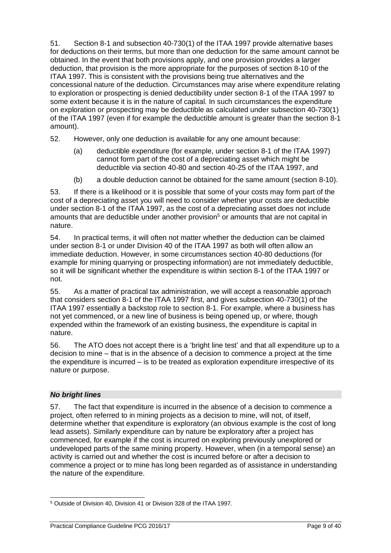51. Section 8-1 and subsection 40-730(1) of the ITAA 1997 provide alternative bases for deductions on their terms, but more than one deduction for the same amount cannot be obtained. In the event that both provisions apply, and one provision provides a larger deduction, that provision is the more appropriate for the purposes of section 8-10 of the ITAA 1997. This is consistent with the provisions being true alternatives and the concessional nature of the deduction. Circumstances may arise where expenditure relating to exploration or prospecting is denied deductibility under section 8-1 of the ITAA 1997 to some extent because it is in the nature of capital. In such circumstances the expenditure on exploration or prospecting may be deductible as calculated under subsection 40-730(1) of the ITAA 1997 (even if for example the deductible amount is greater than the section 8-1 amount).

52. However, only one deduction is available for any one amount because:

- (a) deductible expenditure (for example, under section 8-1 of the ITAA 1997) cannot form part of the cost of a depreciating asset which might be deductible via section 40-80 and section 40-25 of the ITAA 1997, and
- (b) a double deduction cannot be obtained for the same amount (section 8-10).

53. If there is a likelihood or it is possible that some of your costs may form part of the cost of a depreciating asset you will need to consider whether your costs are deductible under section 8-1 of the ITAA 1997, as the cost of a depreciating asset does not include amounts that are deductible under another provision<sup>5</sup> or amounts that are not capital in nature.

54. In practical terms, it will often not matter whether the deduction can be claimed under section 8-1 or under Division 40 of the ITAA 1997 as both will often allow an immediate deduction. However, in some circumstances section 40-80 deductions (for example for mining quarrying or prospecting information) are not immediately deductible, so it will be significant whether the expenditure is within section 8-1 of the ITAA 1997 or not.

55. As a matter of practical tax administration, we will accept a reasonable approach that considers section 8-1 of the ITAA 1997 first, and gives subsection 40-730(1) of the ITAA 1997 essentially a backstop role to section 8-1. For example, where a business has not yet commenced, or a new line of business is being opened up, or where, though expended within the framework of an existing business, the expenditure is capital in nature.

56. The ATO does not accept there is a 'bright line test' and that all expenditure up to a decision to mine – that is in the absence of a decision to commence a project at the time the expenditure is incurred – is to be treated as exploration expenditure irrespective of its nature or purpose.

## *No bright lines*

57. The fact that expenditure is incurred in the absence of a decision to commence a project, often referred to in mining projects as a decision to mine, will not, of itself, determine whether that expenditure is exploratory (an obvious example is the cost of long lead assets). Similarly expenditure can by nature be exploratory after a project has commenced, for example if the cost is incurred on exploring previously unexplored or undeveloped parts of the same mining property. However, when (in a temporal sense) an activity is carried out and whether the cost is incurred before or after a decision to commence a project or to mine has long been regarded as of assistance in understanding the nature of the expenditure.

<sup>5</sup> Outside of Division 40, Division 41 or Division 328 of the ITAA 1997.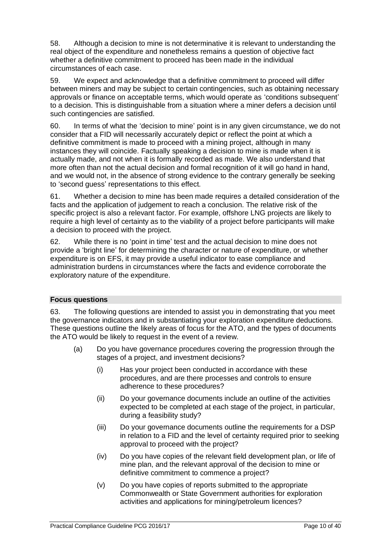58. Although a decision to mine is not determinative it is relevant to understanding the real object of the expenditure and nonetheless remains a question of objective fact whether a definitive commitment to proceed has been made in the individual circumstances of each case.

59. We expect and acknowledge that a definitive commitment to proceed will differ between miners and may be subject to certain contingencies, such as obtaining necessary approvals or finance on acceptable terms, which would operate as 'conditions subsequent' to a decision. This is distinguishable from a situation where a miner defers a decision until such contingencies are satisfied.

60. In terms of what the 'decision to mine' point is in any given circumstance, we do not consider that a FID will necessarily accurately depict or reflect the point at which a definitive commitment is made to proceed with a mining project, although in many instances they will coincide. Factually speaking a decision to mine is made when it is actually made, and not when it is formally recorded as made. We also understand that more often than not the actual decision and formal recognition of it will go hand in hand, and we would not, in the absence of strong evidence to the contrary generally be seeking to 'second guess' representations to this effect.

61. Whether a decision to mine has been made requires a detailed consideration of the facts and the application of judgement to reach a conclusion. The relative risk of the specific project is also a relevant factor. For example, offshore LNG projects are likely to require a high level of certainty as to the viability of a project before participants will make a decision to proceed with the project.

62. While there is no 'point in time' test and the actual decision to mine does not provide a 'bright line' for determining the character or nature of expenditure, or whether expenditure is on EFS, it may provide a useful indicator to ease compliance and administration burdens in circumstances where the facts and evidence corroborate the exploratory nature of the expenditure.

#### **Focus questions**

63. The following questions are intended to assist you in demonstrating that you meet the governance indicators and in substantiating your exploration expenditure deductions. These questions outline the likely areas of focus for the ATO, and the types of documents the ATO would be likely to request in the event of a review.

- (a) Do you have governance procedures covering the progression through the stages of a project, and investment decisions?
	- (i) Has your project been conducted in accordance with these procedures, and are there processes and controls to ensure adherence to these procedures?
	- (ii) Do your governance documents include an outline of the activities expected to be completed at each stage of the project, in particular, during a feasibility study?
	- (iii) Do your governance documents outline the requirements for a DSP in relation to a FID and the level of certainty required prior to seeking approval to proceed with the project?
	- (iv) Do you have copies of the relevant field development plan, or life of mine plan, and the relevant approval of the decision to mine or definitive commitment to commence a project?
	- (v) Do you have copies of reports submitted to the appropriate Commonwealth or State Government authorities for exploration activities and applications for mining/petroleum licences?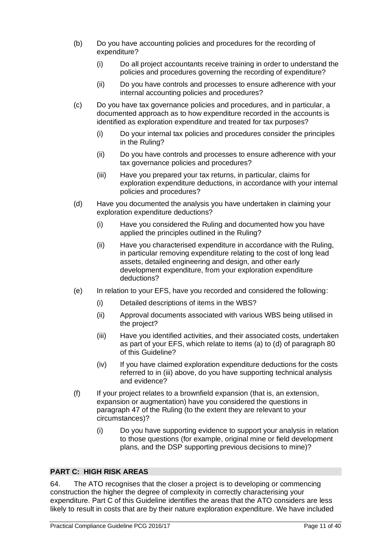- (b) Do you have accounting policies and procedures for the recording of expenditure?
	- (i) Do all project accountants receive training in order to understand the policies and procedures governing the recording of expenditure?
	- (ii) Do you have controls and processes to ensure adherence with your internal accounting policies and procedures?
- (c) Do you have tax governance policies and procedures, and in particular, a documented approach as to how expenditure recorded in the accounts is identified as exploration expenditure and treated for tax purposes?
	- (i) Do your internal tax policies and procedures consider the principles in the Ruling?
	- (ii) Do you have controls and processes to ensure adherence with your tax governance policies and procedures?
	- (iii) Have you prepared your tax returns, in particular, claims for exploration expenditure deductions, in accordance with your internal policies and procedures?
- (d) Have you documented the analysis you have undertaken in claiming your exploration expenditure deductions?
	- (i) Have you considered the Ruling and documented how you have applied the principles outlined in the Ruling?
	- (ii) Have you characterised expenditure in accordance with the Ruling, in particular removing expenditure relating to the cost of long lead assets, detailed engineering and design, and other early development expenditure, from your exploration expenditure deductions?
- (e) In relation to your EFS, have you recorded and considered the following:
	- (i) Detailed descriptions of items in the WBS?
	- (ii) Approval documents associated with various WBS being utilised in the project?
	- (iii) Have you identified activities, and their associated costs, undertaken as part of your EFS, which relate to items (a) to (d) of paragraph [80](#page-14-0) of this Guideline?
	- (iv) If you have claimed exploration expenditure deductions for the costs referred to in (iii) above, do you have supporting technical analysis and evidence?
- (f) If your project relates to a brownfield expansion (that is, an extension, expansion or augmentation) have you considered the questions in paragraph 47 of the Ruling (to the extent they are relevant to your circumstances)?
	- (i) Do you have supporting evidence to support your analysis in relation to those questions (for example, original mine or field development plans, and the DSP supporting previous decisions to mine)?

## **PART C: HIGH RISK AREAS**

64. The ATO recognises that the closer a project is to developing or commencing construction the higher the degree of complexity in correctly characterising your expenditure. Part C of this Guideline identifies the areas that the ATO considers are less likely to result in costs that are by their nature exploration expenditure. We have included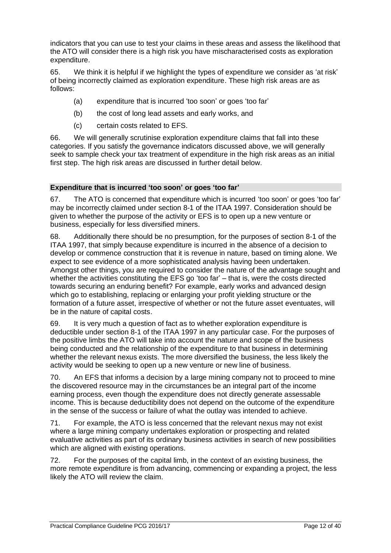indicators that you can use to test your claims in these areas and assess the likelihood that the ATO will consider there is a high risk you have mischaracterised costs as exploration expenditure.

65. We think it is helpful if we highlight the types of expenditure we consider as 'at risk' of being incorrectly claimed as exploration expenditure. These high risk areas are as follows:

- (a) expenditure that is incurred 'too soon' or goes 'too far'
- (b) the cost of long lead assets and early works, and
- (c) certain costs related to EFS.

66. We will generally scrutinise exploration expenditure claims that fall into these categories. If you satisfy the governance indicators discussed above, we will generally seek to sample check your tax treatment of expenditure in the high risk areas as an initial first step. The high risk areas are discussed in further detail below.

#### **Expenditure that is incurred 'too soon' or goes 'too far'**

67. The ATO is concerned that expenditure which is incurred 'too soon' or goes 'too far' may be incorrectly claimed under section 8-1 of the ITAA 1997. Consideration should be given to whether the purpose of the activity or EFS is to open up a new venture or business, especially for less diversified miners.

68. Additionally there should be no presumption, for the purposes of section 8-1 of the ITAA 1997, that simply because expenditure is incurred in the absence of a decision to develop or commence construction that it is revenue in nature, based on timing alone. We expect to see evidence of a more sophisticated analysis having been undertaken. Amongst other things, you are required to consider the nature of the advantage sought and whether the activities constituting the EFS go 'too far' – that is, were the costs directed towards securing an enduring benefit? For example, early works and advanced design which go to establishing, replacing or enlarging your profit yielding structure or the formation of a future asset, irrespective of whether or not the future asset eventuates, will be in the nature of capital costs.

69. It is very much a question of fact as to whether exploration expenditure is deductible under section 8-1 of the ITAA 1997 in any particular case. For the purposes of the positive limbs the ATO will take into account the nature and scope of the business being conducted and the relationship of the expenditure to that business in determining whether the relevant nexus exists. The more diversified the business, the less likely the activity would be seeking to open up a new venture or new line of business.

70. An EFS that informs a decision by a large mining company not to proceed to mine the discovered resource may in the circumstances be an integral part of the income earning process, even though the expenditure does not directly generate assessable income. This is because deductibility does not depend on the outcome of the expenditure in the sense of the success or failure of what the outlay was intended to achieve.

71. For example, the ATO is less concerned that the relevant nexus may not exist where a large mining company undertakes exploration or prospecting and related evaluative activities as part of its ordinary business activities in search of new possibilities which are aligned with existing operations.

72. For the purposes of the capital limb, in the context of an existing business, the more remote expenditure is from advancing, commencing or expanding a project, the less likely the ATO will review the claim.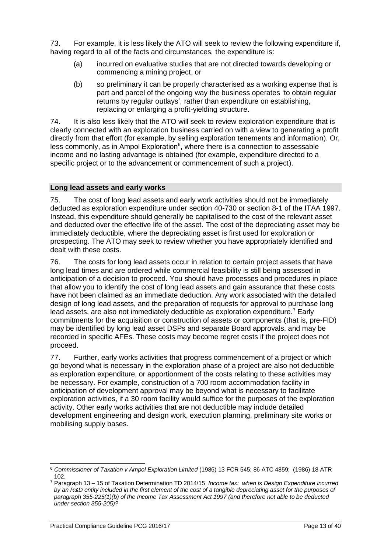73. For example, it is less likely the ATO will seek to review the following expenditure if, having regard to all of the facts and circumstances, the expenditure is:

- (a) incurred on evaluative studies that are not directed towards developing or commencing a mining project, or
- (b) so preliminary it can be properly characterised as a working expense that is part and parcel of the ongoing way the business operates 'to obtain regular returns by regular outlays', rather than expenditure on establishing, replacing or enlarging a profit-yielding structure.

74. It is also less likely that the ATO will seek to review exploration expenditure that is clearly connected with an exploration business carried on with a view to generating a profit directly from that effort (for example, by selling exploration tenements and information). Or, less commonly, as in Ampol Exploration<sup>6</sup>, where there is a connection to assessable income and no lasting advantage is obtained (for example, expenditure directed to a specific project or to the advancement or commencement of such a project).

#### **Long lead assets and early works**

75. The cost of long lead assets and early work activities should not be immediately deducted as exploration expenditure under section 40-730 or section 8-1 of the ITAA 1997. Instead, this expenditure should generally be capitalised to the cost of the relevant asset and deducted over the effective life of the asset. The cost of the depreciating asset may be immediately deductible, where the depreciating asset is first used for exploration or prospecting. The ATO may seek to review whether you have appropriately identified and dealt with these costs.

76. The costs for long lead assets occur in relation to certain project assets that have long lead times and are ordered while commercial feasibility is still being assessed in anticipation of a decision to proceed. You should have processes and procedures in place that allow you to identify the cost of long lead assets and gain assurance that these costs have not been claimed as an immediate deduction. Any work associated with the detailed design of long lead assets, and the preparation of requests for approval to purchase long lead assets, are also not immediately deductible as exploration expenditure.<sup>7</sup> Early commitments for the acquisition or construction of assets or components (that is, pre-FID) may be identified by long lead asset DSPs and separate Board approvals, and may be recorded in specific AFEs. These costs may become regret costs if the project does not proceed.

77. Further, early works activities that progress commencement of a project or which go beyond what is necessary in the exploration phase of a project are also not deductible as exploration expenditure, or apportionment of the costs relating to these activities may be necessary. For example, construction of a 700 room accommodation facility in anticipation of development approval may be beyond what is necessary to facilitate exploration activities, if a 30 room facility would suffice for the purposes of the exploration activity. Other early works activities that are not deductible may include detailed development engineering and design work, execution planning, preliminary site works or mobilising supply bases.

<sup>6</sup> *Commissioner of Taxation v Ampol Exploration Limited* (1986) 13 FCR 545; 86 ATC 4859; (1986) 18 ATR 102.

<sup>7</sup> Paragraph 13 – 15 of Taxation Determination TD 2014/15 *Income tax: when is Design Expenditure incurred*  by an R&D entity included in the first element of the cost of a tangible depreciating asset for the purposes of *paragraph 355-225(1)(b) of the Income Tax Assessment Act 1997 (and therefore not able to be deducted under section 355-205)?*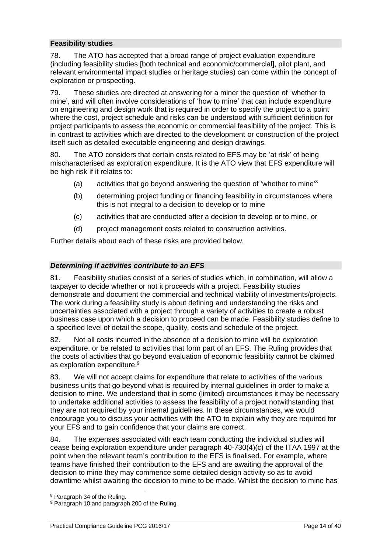## **Feasibility studies**

78. The ATO has accepted that a broad range of project evaluation expenditure (including feasibility studies [both technical and economic/commercial], pilot plant, and relevant environmental impact studies or heritage studies) can come within the concept of exploration or prospecting.

79. These studies are directed at answering for a miner the question of 'whether to mine', and will often involve considerations of 'how to mine' that can include expenditure on engineering and design work that is required in order to specify the project to a point where the cost, project schedule and risks can be understood with sufficient definition for project participants to assess the economic or commercial feasibility of the project. This is in contrast to activities which are directed to the development or construction of the project itself such as detailed executable engineering and design drawings.

<span id="page-14-0"></span>80. The ATO considers that certain costs related to EFS may be 'at risk' of being mischaracterised as exploration expenditure. It is the ATO view that EFS expenditure will be high risk if it relates to:

- (a) activities that go beyond answering the question of 'whether to mine'<sup>8</sup>
- (b) determining project funding or financing feasibility in circumstances where this is not integral to a decision to develop or to mine
- (c) activities that are conducted after a decision to develop or to mine, or
- (d) project management costs related to construction activities.

Further details about each of these risks are provided below.

#### *Determining if activities contribute to an EFS*

81. Feasibility studies consist of a series of studies which, in combination, will allow a taxpayer to decide whether or not it proceeds with a project. Feasibility studies demonstrate and document the commercial and technical viability of investments/projects. The work during a feasibility study is about defining and understanding the risks and uncertainties associated with a project through a variety of activities to create a robust business case upon which a decision to proceed can be made. Feasibility studies define to a specified level of detail the scope, quality, costs and schedule of the project.

82. Not all costs incurred in the absence of a decision to mine will be exploration expenditure, or be related to activities that form part of an EFS. The Ruling provides that the costs of activities that go beyond evaluation of economic feasibility cannot be claimed as exploration expenditure.<sup>9</sup>

83. We will not accept claims for expenditure that relate to activities of the various business units that go beyond what is required by internal guidelines in order to make a decision to mine. We understand that in some (limited) circumstances it may be necessary to undertake additional activities to assess the feasibility of a project notwithstanding that they are not required by your internal guidelines. In these circumstances, we would encourage you to discuss your activities with the ATO to explain why they are required for your EFS and to gain confidence that your claims are correct.

84. The expenses associated with each team conducting the individual studies will cease being exploration expenditure under paragraph 40-730(4)(c) of the ITAA 1997 at the point when the relevant team's contribution to the EFS is finalised. For example, where teams have finished their contribution to the EFS and are awaiting the approval of the decision to mine they may commence some detailed design activity so as to avoid downtime whilst awaiting the decision to mine to be made. Whilst the decision to mine has

<sup>8</sup> Paragraph 34 of the Ruling.

<sup>&</sup>lt;sup>9</sup> Paragraph 10 and paragraph 200 of the Ruling.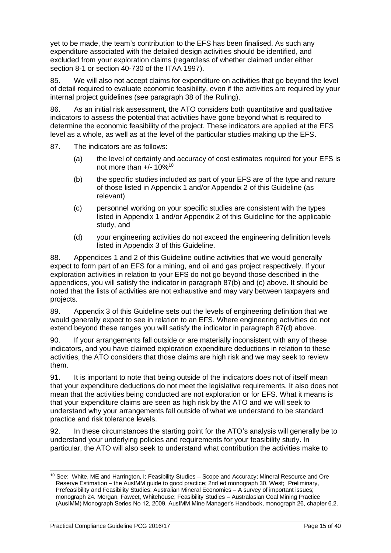yet to be made, the team's contribution to the EFS has been finalised. As such any expenditure associated with the detailed design activities should be identified, and excluded from your exploration claims (regardless of whether claimed under either section 8-1 or section 40-730 of the ITAA 1997).

85. We will also not accept claims for expenditure on activities that go beyond the level of detail required to evaluate economic feasibility, even if the activities are required by your internal project guidelines (see paragraph 38 of the Ruling).

86. As an initial risk assessment, the ATO considers both quantitative and qualitative indicators to assess the potential that activities have gone beyond what is required to determine the economic feasibility of the project. These indicators are applied at the EFS level as a whole, as well as at the level of the particular studies making up the EFS.

87. The indicators are as follows:

- (a) the level of certainty and accuracy of cost estimates required for your EFS is not more than  $+/- 10\%^{10}$
- (b) the specific studies included as part of your EFS are of the type and nature of those listed in Appendix 1 and/or Appendix 2 of this Guideline (as relevant)
- (c) personnel working on your specific studies are consistent with the types listed in Appendix 1 and/or Appendix 2 of this Guideline for the applicable study, and
- (d) your engineering activities do not exceed the engineering definition levels listed in Appendix 3 of this Guideline.

88. Appendices 1 and 2 of this Guideline outline activities that we would generally expect to form part of an EFS for a mining, and oil and gas project respectively. If your exploration activities in relation to your EFS do not go beyond those described in the appendices, you will satisfy the indicator in paragraph 87(b) and (c) above. It should be noted that the lists of activities are not exhaustive and may vary between taxpayers and projects.

89. Appendix 3 of this Guideline sets out the levels of engineering definition that we would generally expect to see in relation to an EFS. Where engineering activities do not extend beyond these ranges you will satisfy the indicator in paragraph 87(d) above.

90. If your arrangements fall outside or are materially inconsistent with any of these indicators, and you have claimed exploration expenditure deductions in relation to these activities, the ATO considers that those claims are high risk and we may seek to review them.

91. It is important to note that being outside of the indicators does not of itself mean that your expenditure deductions do not meet the legislative requirements. It also does not mean that the activities being conducted are not exploration or for EFS. What it means is that your expenditure claims are seen as high risk by the ATO and we will seek to understand why your arrangements fall outside of what we understand to be standard practice and risk tolerance levels.

92. In these circumstances the starting point for the ATO's analysis will generally be to understand your underlying policies and requirements for your feasibility study. In particular, the ATO will also seek to understand what contribution the activities make to

<sup>&</sup>lt;sup>10</sup> See: White, ME and Harrington, I; Feasibility Studies - Scope and Accuracy; Mineral Resource and Ore Reserve Estimation – the AusIMM guide to good practice; 2nd ed monograph 30. West; Preliminary, Prefeasibility and Feasibility Studies; Australian Mineral Economics – A survey of important issues; monograph 24. Morgan, Fawcet, Whitehouse; Feasibility Studies – Australasian Coal Mining Practice (AusIMM) Monograph Series No 12, 2009. AusIMM Mine Manager's Handbook, monograph 26, chapter 6.2.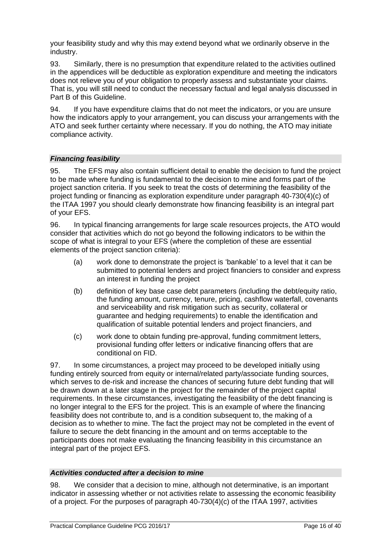your feasibility study and why this may extend beyond what we ordinarily observe in the industry.

93. Similarly, there is no presumption that expenditure related to the activities outlined in the appendices will be deductible as exploration expenditure and meeting the indicators does not relieve you of your obligation to properly assess and substantiate your claims. That is, you will still need to conduct the necessary factual and legal analysis discussed in Part B of this Guideline.

94. If you have expenditure claims that do not meet the indicators, or you are unsure how the indicators apply to your arrangement, you can discuss your arrangements with the ATO and seek further certainty where necessary. If you do nothing, the ATO may initiate compliance activity.

#### *Financing feasibility*

95. The EFS may also contain sufficient detail to enable the decision to fund the project to be made where funding is fundamental to the decision to mine and forms part of the project sanction criteria. If you seek to treat the costs of determining the feasibility of the project funding or financing as exploration expenditure under paragraph 40-730(4)(c) of the ITAA 1997 you should clearly demonstrate how financing feasibility is an integral part of your EFS.

96. In typical financing arrangements for large scale resources projects, the ATO would consider that activities which do not go beyond the following indicators to be within the scope of what is integral to your EFS (where the completion of these are essential elements of the project sanction criteria):

- (a) work done to demonstrate the project is 'bankable' to a level that it can be submitted to potential lenders and project financiers to consider and express an interest in funding the project
- (b) definition of key base case debt parameters (including the debt/equity ratio, the funding amount, currency, tenure, pricing, cashflow waterfall, covenants and serviceability and risk mitigation such as security, collateral or guarantee and hedging requirements) to enable the identification and qualification of suitable potential lenders and project financiers, and
- (c) work done to obtain funding pre-approval, funding commitment letters, provisional funding offer letters or indicative financing offers that are conditional on FID.

97. In some circumstances, a project may proceed to be developed initially using funding entirely sourced from equity or internal/related party/associate funding sources, which serves to de-risk and increase the chances of securing future debt funding that will be drawn down at a later stage in the project for the remainder of the project capital requirements. In these circumstances, investigating the feasibility of the debt financing is no longer integral to the EFS for the project. This is an example of where the financing feasibility does not contribute to, and is a condition subsequent to, the making of a decision as to whether to mine. The fact the project may not be completed in the event of failure to secure the debt financing in the amount and on terms acceptable to the participants does not make evaluating the financing feasibility in this circumstance an integral part of the project EFS.

#### *Activities conducted after a decision to mine*

98. We consider that a decision to mine, although not determinative, is an important indicator in assessing whether or not activities relate to assessing the economic feasibility of a project. For the purposes of paragraph 40-730(4)(c) of the ITAA 1997, activities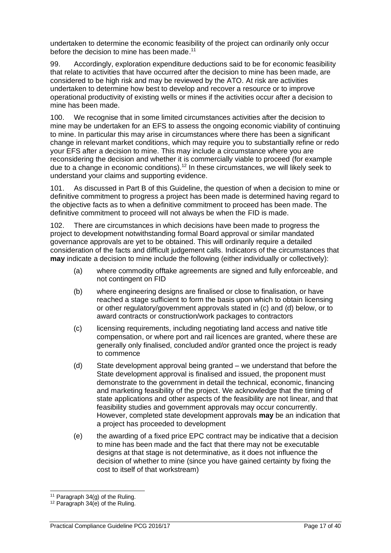undertaken to determine the economic feasibility of the project can ordinarily only occur before the decision to mine has been made.<sup>11</sup>

99. Accordingly, exploration expenditure deductions said to be for economic feasibility that relate to activities that have occurred after the decision to mine has been made, are considered to be high risk and may be reviewed by the ATO. At risk are activities undertaken to determine how best to develop and recover a resource or to improve operational productivity of existing wells or mines if the activities occur after a decision to mine has been made.

100. We recognise that in some limited circumstances activities after the decision to mine may be undertaken for an EFS to assess the ongoing economic viability of continuing to mine. In particular this may arise in circumstances where there has been a significant change in relevant market conditions, which may require you to substantially refine or redo your EFS after a decision to mine. This may include a circumstance where you are reconsidering the decision and whether it is commercially viable to proceed (for example due to a change in economic conditions).<sup>12</sup> In these circumstances, we will likely seek to understand your claims and supporting evidence.

101. As discussed in Part B of this Guideline, the question of when a decision to mine or definitive commitment to progress a project has been made is determined having regard to the objective facts as to when a definitive commitment to proceed has been made. The definitive commitment to proceed will not always be when the FID is made.

102. There are circumstances in which decisions have been made to progress the project to development notwithstanding formal Board approval or similar mandated governance approvals are yet to be obtained. This will ordinarily require a detailed consideration of the facts and difficult judgement calls. Indicators of the circumstances that **may** indicate a decision to mine include the following (either individually or collectively):

- (a) where commodity offtake agreements are signed and fully enforceable, and not contingent on FID
- (b) where engineering designs are finalised or close to finalisation, or have reached a stage sufficient to form the basis upon which to obtain licensing or other regulatory/government approvals stated in (c) and (d) below, or to award contracts or construction/work packages to contractors
- (c) licensing requirements, including negotiating land access and native title compensation, or where port and rail licences are granted, where these are generally only finalised, concluded and/or granted once the project is ready to commence
- (d) State development approval being granted we understand that before the State development approval is finalised and issued, the proponent must demonstrate to the government in detail the technical, economic, financing and marketing feasibility of the project. We acknowledge that the timing of state applications and other aspects of the feasibility are not linear, and that feasibility studies and government approvals may occur concurrently. However, completed state development approvals **may** be an indication that a project has proceeded to development
- (e) the awarding of a fixed price EPC contract may be indicative that a decision to mine has been made and the fact that there may not be executable designs at that stage is not determinative, as it does not influence the decision of whether to mine (since you have gained certainty by fixing the cost to itself of that workstream)

 $11$  Paragraph 34(g) of the Ruling.

<sup>12</sup> Paragraph 34(e) of the Ruling.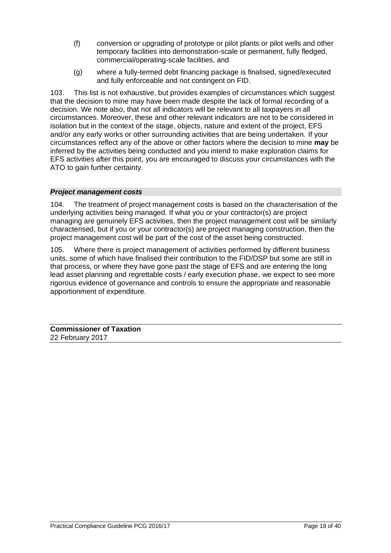- (f) conversion or upgrading of prototype or pilot plants or pilot wells and other temporary facilities into demonstration-scale or permanent, fully fledged, commercial/operating-scale facilities, and
- (g) where a fully-termed debt financing package is finalised, signed/executed and fully enforceable and not contingent on FID.

103. This list is not exhaustive, but provides examples of circumstances which suggest that the decision to mine may have been made despite the lack of formal recording of a decision. We note also, that not all indicators will be relevant to all taxpayers in all circumstances. Moreover, these and other relevant indicators are not to be considered in isolation but in the context of the stage, objects, nature and extent of the project, EFS and/or any early works or other surrounding activities that are being undertaken. If your circumstances reflect any of the above or other factors where the decision to mine **may** be inferred by the activities being conducted and you intend to make exploration claims for EFS activities after this point, you are encouraged to discuss your circumstances with the ATO to gain further certainty.

#### *Project management costs*

104. The treatment of project management costs is based on the characterisation of the underlying activities being managed. If what you or your contractor(s) are project managing are genuinely EFS activities, then the project management cost will be similarly characterised, but if you or your contractor(s) are project managing construction, then the project management cost will be part of the cost of the asset being constructed.

105. Where there is project management of activities performed by different business units, some of which have finalised their contribution to the FID/DSP but some are still in that process, or where they have gone past the stage of EFS and are entering the long lead asset planning and regrettable costs / early execution phase, we expect to see more rigorous evidence of governance and controls to ensure the appropriate and reasonable apportionment of expenditure.

**Commissioner of Taxation** 22 February 2017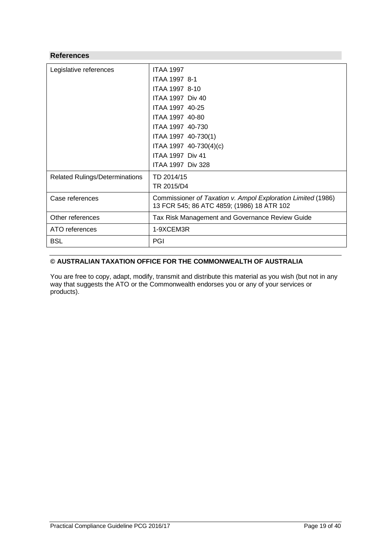#### **References**

| Legislative references                | <b>ITAA 1997</b>                                             |
|---------------------------------------|--------------------------------------------------------------|
|                                       | ITAA 1997 8-1                                                |
|                                       | ITAA 1997 8-10                                               |
|                                       | <b>ITAA 1997 Div 40</b>                                      |
|                                       | ITAA 1997 40-25                                              |
|                                       | ITAA 1997 40-80                                              |
|                                       | ITAA 1997 40-730                                             |
|                                       | ITAA 1997 40-730(1)                                          |
|                                       | ITAA 1997 40-730(4)(c)                                       |
|                                       | <b>ITAA 1997 Div 41</b>                                      |
|                                       | <b>ITAA 1997 Div 328</b>                                     |
| <b>Related Rulings/Determinations</b> | TD 2014/15                                                   |
|                                       | TR 2015/D4                                                   |
| Case references                       | Commissioner of Taxation v. Ampol Exploration Limited (1986) |
|                                       | 13 FCR 545; 86 ATC 4859; (1986) 18 ATR 102                   |
| Other references                      | Tax Risk Management and Governance Review Guide              |
| ATO references                        | 1-9XCEM3R                                                    |
| <b>BSL</b>                            | PGI                                                          |

#### **© AUSTRALIAN TAXATION OFFICE FOR THE COMMONWEALTH OF AUSTRALIA**

You are free to copy, adapt, modify, transmit and distribute this material as you wish (but not in any way that suggests the ATO or the Commonwealth endorses you or any of your services or products).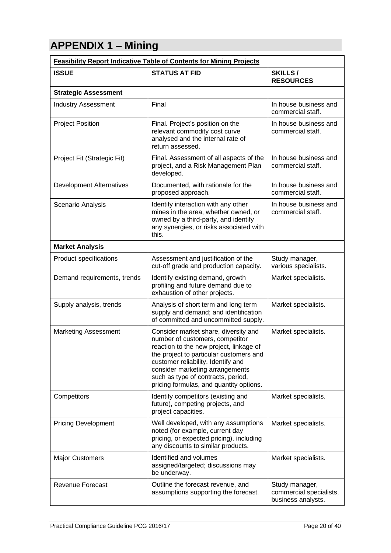# **APPENDIX 1 – Mining**

| <b>Feasibility Report Indicative Table of Contents for Mining Projects</b> |                                                                                                                                                                                                                                                                                                                         |                                                                 |
|----------------------------------------------------------------------------|-------------------------------------------------------------------------------------------------------------------------------------------------------------------------------------------------------------------------------------------------------------------------------------------------------------------------|-----------------------------------------------------------------|
| <b>ISSUE</b>                                                               | <b>STATUS AT FID</b>                                                                                                                                                                                                                                                                                                    | <b>SKILLS/</b><br><b>RESOURCES</b>                              |
| <b>Strategic Assessment</b>                                                |                                                                                                                                                                                                                                                                                                                         |                                                                 |
| <b>Industry Assessment</b>                                                 | Final                                                                                                                                                                                                                                                                                                                   | In house business and<br>commercial staff.                      |
| <b>Project Position</b>                                                    | Final. Project's position on the<br>relevant commodity cost curve<br>analysed and the internal rate of<br>return assessed.                                                                                                                                                                                              | In house business and<br>commercial staff.                      |
| Project Fit (Strategic Fit)                                                | Final. Assessment of all aspects of the<br>project, and a Risk Management Plan<br>developed.                                                                                                                                                                                                                            | In house business and<br>commercial staff.                      |
| <b>Development Alternatives</b>                                            | Documented, with rationale for the<br>proposed approach.                                                                                                                                                                                                                                                                | In house business and<br>commercial staff.                      |
| Scenario Analysis                                                          | Identify interaction with any other<br>mines in the area, whether owned, or<br>owned by a third-party, and identify<br>any synergies, or risks associated with<br>this.                                                                                                                                                 | In house business and<br>commercial staff.                      |
| <b>Market Analysis</b>                                                     |                                                                                                                                                                                                                                                                                                                         |                                                                 |
| Product specifications                                                     | Assessment and justification of the<br>cut-off grade and production capacity.                                                                                                                                                                                                                                           | Study manager,<br>various specialists.                          |
| Demand requirements, trends                                                | Identify existing demand, growth<br>profiling and future demand due to<br>exhaustion of other projects.                                                                                                                                                                                                                 | Market specialists.                                             |
| Supply analysis, trends                                                    | Analysis of short term and long term<br>supply and demand; and identification<br>of committed and uncommitted supply.                                                                                                                                                                                                   | Market specialists.                                             |
| <b>Marketing Assessment</b>                                                | Consider market share, diversity and<br>number of customers, competitor<br>reaction to the new project, linkage of<br>the project to particular customers and<br>customer reliability. Identify and<br>consider marketing arrangements<br>such as type of contracts, period,<br>pricing formulas, and quantity options. | Market specialists.                                             |
| Competitors                                                                | Identify competitors (existing and<br>future), competing projects, and<br>project capacities.                                                                                                                                                                                                                           | Market specialists.                                             |
| <b>Pricing Development</b>                                                 | Well developed, with any assumptions<br>noted (for example, current day<br>pricing, or expected pricing), including<br>any discounts to similar products.                                                                                                                                                               | Market specialists.                                             |
| <b>Major Customers</b>                                                     | Identified and volumes<br>assigned/targeted; discussions may<br>be underway.                                                                                                                                                                                                                                            | Market specialists.                                             |
| <b>Revenue Forecast</b>                                                    | Outline the forecast revenue, and<br>assumptions supporting the forecast.                                                                                                                                                                                                                                               | Study manager,<br>commercial specialists,<br>business analysts. |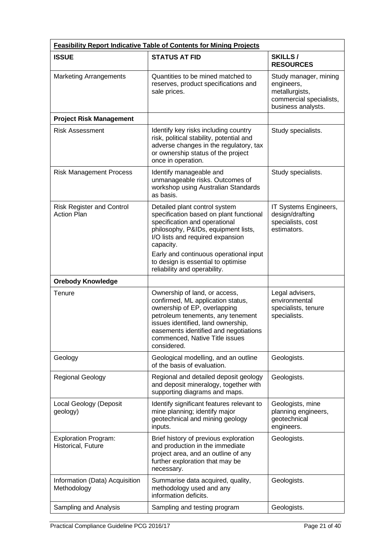| <b>Feasibility Report Indicative Table of Contents for Mining Projects</b> |                                                                                                                                                                                                                                                                                                                   |                                                                                                        |
|----------------------------------------------------------------------------|-------------------------------------------------------------------------------------------------------------------------------------------------------------------------------------------------------------------------------------------------------------------------------------------------------------------|--------------------------------------------------------------------------------------------------------|
| <b>ISSUE</b>                                                               | <b>STATUS AT FID</b>                                                                                                                                                                                                                                                                                              | <b>SKILLS/</b><br><b>RESOURCES</b>                                                                     |
| <b>Marketing Arrangements</b>                                              | Quantities to be mined matched to<br>reserves, product specifications and<br>sale prices.                                                                                                                                                                                                                         | Study manager, mining<br>engineers,<br>metallurgists,<br>commercial specialists,<br>business analysts. |
| <b>Project Risk Management</b>                                             |                                                                                                                                                                                                                                                                                                                   |                                                                                                        |
| <b>Risk Assessment</b>                                                     | Identify key risks including country<br>risk, political stability, potential and<br>adverse changes in the regulatory, tax<br>or ownership status of the project<br>once in operation.                                                                                                                            | Study specialists.                                                                                     |
| <b>Risk Management Process</b>                                             | Identify manageable and<br>unmanageable risks. Outcomes of<br>workshop using Australian Standards<br>as basis.                                                                                                                                                                                                    | Study specialists.                                                                                     |
| <b>Risk Register and Control</b><br><b>Action Plan</b>                     | Detailed plant control system<br>specification based on plant functional<br>specification and operational<br>philosophy, P&IDs, equipment lists,<br>I/O lists and required expansion<br>capacity.<br>Early and continuous operational input<br>to design is essential to optimise<br>reliability and operability. | IT Systems Engineers,<br>design/drafting<br>specialists, cost<br>estimators.                           |
| <b>Orebody Knowledge</b>                                                   |                                                                                                                                                                                                                                                                                                                   |                                                                                                        |
| Tenure                                                                     | Ownership of land, or access,<br>confirmed, ML application status,<br>ownership of EP, overlapping<br>petroleum tenements, any tenement<br>issues identified, land ownership,<br>easements identified and negotiations<br>commenced, Native Title issues<br>considered.                                           | Legal advisers,<br>environmental<br>specialists, tenure<br>specialists.                                |
| Geology                                                                    | Geological modelling, and an outline<br>of the basis of evaluation.                                                                                                                                                                                                                                               | Geologists.                                                                                            |
| <b>Regional Geology</b>                                                    | Regional and detailed deposit geology<br>and deposit mineralogy, together with<br>supporting diagrams and maps.                                                                                                                                                                                                   | Geologists.                                                                                            |
| Local Geology (Deposit<br>geology)                                         | Identify significant features relevant to<br>mine planning; identify major<br>geotechnical and mining geology<br>inputs.                                                                                                                                                                                          | Geologists, mine<br>planning engineers,<br>geotechnical<br>engineers.                                  |
| <b>Exploration Program:</b><br>Historical, Future                          | Brief history of previous exploration<br>and production in the immediate<br>project area, and an outline of any<br>further exploration that may be<br>necessary.                                                                                                                                                  | Geologists.                                                                                            |
| Information (Data) Acquisition<br>Methodology                              | Summarise data acquired, quality,<br>methodology used and any<br>information deficits.                                                                                                                                                                                                                            | Geologists.                                                                                            |
| Sampling and Analysis                                                      | Sampling and testing program                                                                                                                                                                                                                                                                                      | Geologists.                                                                                            |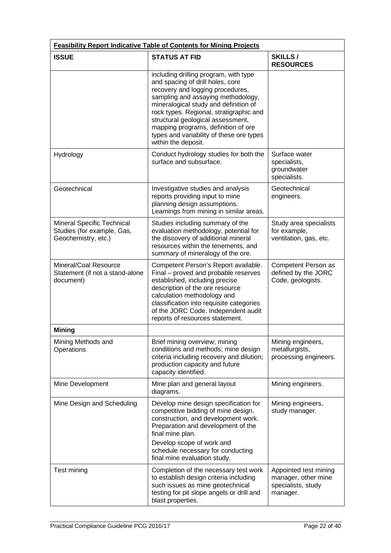| <b>Feasibility Report Indicative Table of Contents for Mining Projects</b>      |                                                                                                                                                                                                                                                                                                                                                                                        |                                                                                |
|---------------------------------------------------------------------------------|----------------------------------------------------------------------------------------------------------------------------------------------------------------------------------------------------------------------------------------------------------------------------------------------------------------------------------------------------------------------------------------|--------------------------------------------------------------------------------|
| <b>ISSUE</b>                                                                    | <b>STATUS AT FID</b>                                                                                                                                                                                                                                                                                                                                                                   | SKILLS/<br><b>RESOURCES</b>                                                    |
|                                                                                 | including drilling program, with type<br>and spacing of drill holes, core<br>recovery and logging procedures,<br>sampling and assaying methodology,<br>mineralogical study and definition of<br>rock types. Regional, stratigraphic and<br>structural geological assessment,<br>mapping programs, definition of ore<br>types and variability of these ore types<br>within the deposit. |                                                                                |
| Hydrology                                                                       | Conduct hydrology studies for both the<br>surface and subsurface.                                                                                                                                                                                                                                                                                                                      | Surface water<br>specialists,<br>groundwater<br>specialists.                   |
| Geotechnical                                                                    | Investigative studies and analysis<br>reports providing input to mine<br>planning design assumptions.<br>Learnings from mining in similar areas.                                                                                                                                                                                                                                       | Geotechnical<br>engineers.                                                     |
| Mineral Specific Technical<br>Studies (for example, Gas,<br>Geochemistry, etc.) | Studies including summary of the<br>evaluation methodology, potential for<br>the discovery of additional mineral<br>resources within the tenements, and<br>summary of mineralogy of the ore.                                                                                                                                                                                           | Study area specialists<br>for example,<br>ventilation, gas, etc.               |
| Mineral/Coal Resource<br>Statement (if not a stand-alone<br>document)           | Competent Person's Report available.<br>Final – proved and probable reserves<br>established, including precise<br>description of the ore resource<br>calculation methodology and<br>classification into requisite categories<br>of the JORC Code. Independent audit<br>reports of resources statement.                                                                                 | Competent Person as<br>defined by the JORC<br>Code, geologists.                |
| <b>Mining</b>                                                                   |                                                                                                                                                                                                                                                                                                                                                                                        |                                                                                |
| Mining Methods and<br>Operations                                                | Brief mining overview; mining<br>conditions and methods; mine design<br>criteria including recovery and dilution;<br>production capacity and future<br>capacity identified.                                                                                                                                                                                                            | Mining engineers,<br>metallurgists,<br>processing engineers.                   |
| Mine Development                                                                | Mine plan and general layout<br>diagrams.                                                                                                                                                                                                                                                                                                                                              | Mining engineers.                                                              |
| Mine Design and Scheduling                                                      | Develop mine design specification for<br>competitive bidding of mine design,<br>construction, and development work.<br>Preparation and development of the<br>final mine plan.<br>Develop scope of work and<br>schedule necessary for conducting<br>final mine evaluation study.                                                                                                        | Mining engineers,<br>study manager.                                            |
| Test mining                                                                     | Completion of the necessary test work<br>to establish design criteria including<br>such issues as mine geotechnical<br>testing for pit slope angels or drill and<br>blast properties.                                                                                                                                                                                                  | Appointed test mining<br>manager, other mine<br>specialists, study<br>manager. |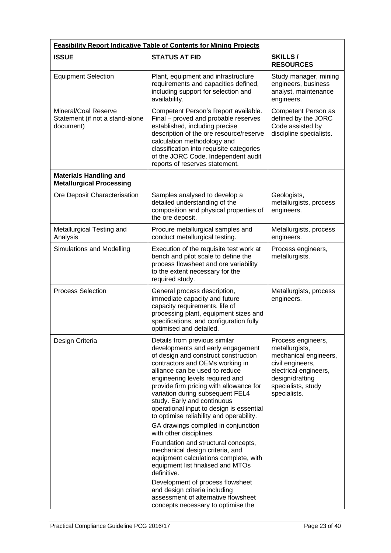| <b>Feasibility Report Indicative Table of Contents for Mining Projects</b> |                                                                                                                                                                                                                                                                                                                                                                                                                                                                                                                                                                                                                                                                                                                                                                                                                     |                                                                                                                                                                     |
|----------------------------------------------------------------------------|---------------------------------------------------------------------------------------------------------------------------------------------------------------------------------------------------------------------------------------------------------------------------------------------------------------------------------------------------------------------------------------------------------------------------------------------------------------------------------------------------------------------------------------------------------------------------------------------------------------------------------------------------------------------------------------------------------------------------------------------------------------------------------------------------------------------|---------------------------------------------------------------------------------------------------------------------------------------------------------------------|
| <b>ISSUE</b>                                                               | <b>STATUS AT FID</b>                                                                                                                                                                                                                                                                                                                                                                                                                                                                                                                                                                                                                                                                                                                                                                                                | SKILLS/<br><b>RESOURCES</b>                                                                                                                                         |
| <b>Equipment Selection</b>                                                 | Plant, equipment and infrastructure<br>requirements and capacities defined,<br>including support for selection and<br>availability.                                                                                                                                                                                                                                                                                                                                                                                                                                                                                                                                                                                                                                                                                 | Study manager, mining<br>engineers, business<br>analyst, maintenance<br>engineers.                                                                                  |
| Mineral/Coal Reserve<br>Statement (if not a stand-alone<br>document)       | Competent Person's Report available.<br>Final – proved and probable reserves<br>established, including precise<br>description of the ore resource/reserve<br>calculation methodology and<br>classification into requisite categories<br>of the JORC Code. Independent audit<br>reports of reserves statement.                                                                                                                                                                                                                                                                                                                                                                                                                                                                                                       | Competent Person as<br>defined by the JORC<br>Code assisted by<br>discipline specialists.                                                                           |
| <b>Materials Handling and</b><br><b>Metallurgical Processing</b>           |                                                                                                                                                                                                                                                                                                                                                                                                                                                                                                                                                                                                                                                                                                                                                                                                                     |                                                                                                                                                                     |
| Ore Deposit Characterisation                                               | Samples analysed to develop a<br>detailed understanding of the<br>composition and physical properties of<br>the ore deposit.                                                                                                                                                                                                                                                                                                                                                                                                                                                                                                                                                                                                                                                                                        | Geologists,<br>metallurgists, process<br>engineers.                                                                                                                 |
| Metallurgical Testing and<br>Analysis                                      | Procure metallurgical samples and<br>conduct metallurgical testing.                                                                                                                                                                                                                                                                                                                                                                                                                                                                                                                                                                                                                                                                                                                                                 | Metallurgists, process<br>engineers.                                                                                                                                |
| Simulations and Modelling                                                  | Execution of the requisite test work at<br>bench and pilot scale to define the<br>process flowsheet and ore variability<br>to the extent necessary for the<br>required study.                                                                                                                                                                                                                                                                                                                                                                                                                                                                                                                                                                                                                                       | Process engineers,<br>metallurgists.                                                                                                                                |
| <b>Process Selection</b>                                                   | General process description,<br>immediate capacity and future<br>capacity requirements, life of<br>processing plant, equipment sizes and<br>specifications, and configuration fully<br>optimised and detailed.                                                                                                                                                                                                                                                                                                                                                                                                                                                                                                                                                                                                      | Metallurgists, process<br>engineers.                                                                                                                                |
| Design Criteria                                                            | Details from previous similar<br>developments and early engagement<br>of design and construct construction<br>contractors and OEMs working in<br>alliance can be used to reduce<br>engineering levels required and<br>provide firm pricing with allowance for<br>variation during subsequent FEL4<br>study. Early and continuous<br>operational input to design is essential<br>to optimise reliability and operability.<br>GA drawings compiled in conjunction<br>with other disciplines.<br>Foundation and structural concepts,<br>mechanical design criteria, and<br>equipment calculations complete, with<br>equipment list finalised and MTOs<br>definitive.<br>Development of process flowsheet<br>and design criteria including<br>assessment of alternative flowsheet<br>concepts necessary to optimise the | Process engineers,<br>metallurgists,<br>mechanical engineers,<br>civil engineers,<br>electrical engineers,<br>design/drafting<br>specialists, study<br>specialists. |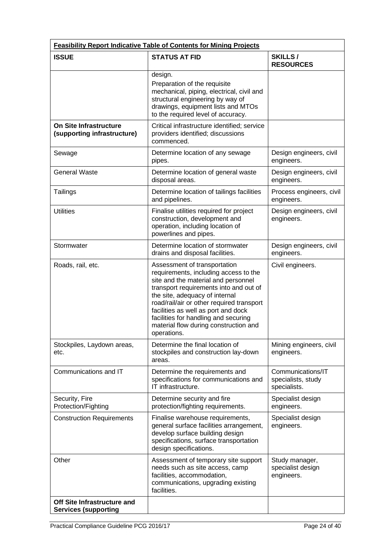| <b>Feasibility Report Indicative Table of Contents for Mining Projects</b> |                                                                                                                                                                                                                                                                                                                                                                              |                                                         |
|----------------------------------------------------------------------------|------------------------------------------------------------------------------------------------------------------------------------------------------------------------------------------------------------------------------------------------------------------------------------------------------------------------------------------------------------------------------|---------------------------------------------------------|
| <b>ISSUE</b>                                                               | <b>STATUS AT FID</b>                                                                                                                                                                                                                                                                                                                                                         | <b>SKILLS/</b><br><b>RESOURCES</b>                      |
|                                                                            | design.<br>Preparation of the requisite<br>mechanical, piping, electrical, civil and<br>structural engineering by way of<br>drawings, equipment lists and MTOs<br>to the required level of accuracy.                                                                                                                                                                         |                                                         |
| <b>On Site Infrastructure</b><br>(supporting infrastructure)               | Critical infrastructure identified; service<br>providers identified; discussions<br>commenced.                                                                                                                                                                                                                                                                               |                                                         |
| Sewage                                                                     | Determine location of any sewage<br>pipes.                                                                                                                                                                                                                                                                                                                                   | Design engineers, civil<br>engineers.                   |
| <b>General Waste</b>                                                       | Determine location of general waste<br>disposal areas.                                                                                                                                                                                                                                                                                                                       | Design engineers, civil<br>engineers.                   |
| Tailings                                                                   | Determine location of tailings facilities<br>and pipelines.                                                                                                                                                                                                                                                                                                                  | Process engineers, civil<br>engineers.                  |
| <b>Utilities</b>                                                           | Finalise utilities required for project<br>construction, development and<br>operation, including location of<br>powerlines and pipes.                                                                                                                                                                                                                                        | Design engineers, civil<br>engineers.                   |
| Stormwater                                                                 | Determine location of stormwater<br>drains and disposal facilities.                                                                                                                                                                                                                                                                                                          | Design engineers, civil<br>engineers.                   |
| Roads, rail, etc.                                                          | Assessment of transportation<br>requirements, including access to the<br>site and the material and personnel<br>transport requirements into and out of<br>the site, adequacy of internal<br>road/rail/air or other required transport<br>facilities as well as port and dock<br>facilities for handling and securing<br>material flow during construction and<br>operations. | Civil engineers.                                        |
| Stockpiles, Laydown areas,<br>etc.                                         | Determine the final location of<br>stockpiles and construction lay-down<br>areas.                                                                                                                                                                                                                                                                                            | Mining engineers, civil<br>engineers.                   |
| Communications and IT                                                      | Determine the requirements and<br>specifications for communications and<br>IT infrastructure.                                                                                                                                                                                                                                                                                | Communications/IT<br>specialists, study<br>specialists. |
| Security, Fire<br>Protection/Fighting                                      | Determine security and fire<br>protection/fighting requirements.                                                                                                                                                                                                                                                                                                             | Specialist design<br>engineers.                         |
| <b>Construction Requirements</b>                                           | Finalise warehouse requirements,<br>general surface facilities arrangement,<br>develop surface building design<br>specifications, surface transportation<br>design specifications.                                                                                                                                                                                           | Specialist design<br>engineers.                         |
| Other                                                                      | Assessment of temporary site support<br>needs such as site access, camp<br>facilities, accommodation,<br>communications, upgrading existing<br>facilities.                                                                                                                                                                                                                   | Study manager,<br>specialist design<br>engineers.       |
| Off Site Infrastructure and<br><b>Services (supporting</b>                 |                                                                                                                                                                                                                                                                                                                                                                              |                                                         |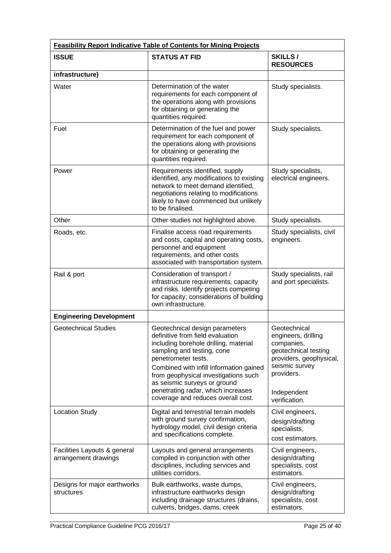| <b>Feasibility Report Indicative Table of Contents for Mining Projects</b> |                                                                                                                                                                                                                                                                                                                                                                 |                                                                                                                                                                      |
|----------------------------------------------------------------------------|-----------------------------------------------------------------------------------------------------------------------------------------------------------------------------------------------------------------------------------------------------------------------------------------------------------------------------------------------------------------|----------------------------------------------------------------------------------------------------------------------------------------------------------------------|
| <b>ISSUE</b>                                                               | <b>STATUS AT FID</b>                                                                                                                                                                                                                                                                                                                                            | <b>SKILLS/</b><br><b>RESOURCES</b>                                                                                                                                   |
| infrastructure)                                                            |                                                                                                                                                                                                                                                                                                                                                                 |                                                                                                                                                                      |
| Water                                                                      | Determination of the water<br>requirements for each component of<br>the operations along with provisions<br>for obtaining or generating the<br>quantities required.                                                                                                                                                                                             | Study specialists.                                                                                                                                                   |
| Fuel                                                                       | Determination of the fuel and power<br>requirement for each component of<br>the operations along with provisions<br>for obtaining or generating the<br>quantities required.                                                                                                                                                                                     | Study specialists.                                                                                                                                                   |
| Power                                                                      | Requirements identified, supply<br>identified, any modifications to existing<br>network to meet demand identified,<br>negotiations relating to modifications<br>likely to have commenced but unlikely<br>to be finalised.                                                                                                                                       | Study specialists,<br>electrical engineers.                                                                                                                          |
| Other                                                                      | Other studies not highlighted above.                                                                                                                                                                                                                                                                                                                            | Study specialists.                                                                                                                                                   |
| Roads, etc.                                                                | Finalise access road requirements<br>and costs, capital and operating costs,<br>personnel and equipment<br>requirements, and other costs<br>associated with transportation system.                                                                                                                                                                              | Study specialists, civil<br>engineers.                                                                                                                               |
| Rail & port                                                                | Consideration of transport /<br>infrastructure requirements, capacity<br>and risks. Identify projects competing<br>for capacity; considerations of building<br>own infrastructure.                                                                                                                                                                              | Study specialists, rail<br>and port specialists.                                                                                                                     |
| <b>Engineering Development</b>                                             |                                                                                                                                                                                                                                                                                                                                                                 |                                                                                                                                                                      |
| <b>Geotechnical Studies</b>                                                | Geotechnical design parameters<br>definitive from field evaluation<br>including borehole drilling, material<br>sampling and testing, cone<br>penetrometer tests.<br>Combined with infill information gained<br>from geophysical investigations such<br>as seismic surveys or ground<br>penetrating radar, which increases<br>coverage and reduces overall cost. | Geotechnical<br>engineers, drilling<br>companies,<br>geotechnical testing<br>providers, geophysical,<br>seismic survey<br>providers.<br>Independent<br>verification. |
| <b>Location Study</b>                                                      | Digital and terrestrial terrain models<br>with ground survey confirmation,<br>hydrology model, civil design criteria<br>and specifications complete.                                                                                                                                                                                                            | Civil engineers,<br>design/drafting<br>specialists,<br>cost estimators.                                                                                              |
| Facilities Layouts & general<br>arrangement drawings                       | Layouts and general arrangements<br>compiled in conjunction with other<br>disciplines, including services and<br>utilities corridors.                                                                                                                                                                                                                           | Civil engineers,<br>design/drafting<br>specialists, cost<br>estimators.                                                                                              |
| Designs for major earthworks<br>structures                                 | Bulk earthworks, waste dumps,<br>infrastructure earthworks design<br>including drainage structures (drains,<br>culverts, bridges, dams, creek                                                                                                                                                                                                                   | Civil engineers,<br>design/drafting<br>specialists, cost<br>estimators.                                                                                              |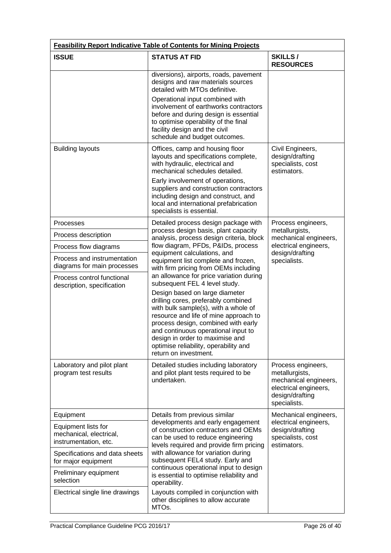| <b>Feasibility Report Indicative Table of Contents for Mining Projects</b> |                                                                                                                                                                                                                                                                                                                                                                                                                       |                                                                                                                           |
|----------------------------------------------------------------------------|-----------------------------------------------------------------------------------------------------------------------------------------------------------------------------------------------------------------------------------------------------------------------------------------------------------------------------------------------------------------------------------------------------------------------|---------------------------------------------------------------------------------------------------------------------------|
| <b>ISSUE</b>                                                               | <b>STATUS AT FID</b>                                                                                                                                                                                                                                                                                                                                                                                                  | SKILLS/<br><b>RESOURCES</b>                                                                                               |
|                                                                            | diversions), airports, roads, pavement<br>designs and raw materials sources<br>detailed with MTOs definitive.                                                                                                                                                                                                                                                                                                         |                                                                                                                           |
|                                                                            | Operational input combined with<br>involvement of earthworks contractors<br>before and during design is essential<br>to optimise operability of the final<br>facility design and the civil<br>schedule and budget outcomes.                                                                                                                                                                                           |                                                                                                                           |
| <b>Building layouts</b>                                                    | Offices, camp and housing floor<br>layouts and specifications complete,<br>with hydraulic, electrical and<br>mechanical schedules detailed.<br>Early involvement of operations,<br>suppliers and construction contractors<br>including design and construct, and<br>local and international prefabrication<br>specialists is essential.                                                                               | Civil Engineers,<br>design/drafting<br>specialists, cost<br>estimators.                                                   |
| <b>Processes</b>                                                           | Detailed process design package with<br>process design basis, plant capacity                                                                                                                                                                                                                                                                                                                                          | Process engineers,<br>metallurgists,                                                                                      |
| Process description                                                        | analysis, process design criteria, block                                                                                                                                                                                                                                                                                                                                                                              | mechanical engineers,                                                                                                     |
| Process flow diagrams                                                      | flow diagram, PFDs, P&IDs, process<br>equipment calculations, and                                                                                                                                                                                                                                                                                                                                                     | electrical engineers,<br>design/drafting                                                                                  |
| Process and instrumentation<br>diagrams for main processes                 | equipment list complete and frozen,<br>with firm pricing from OEMs including                                                                                                                                                                                                                                                                                                                                          | specialists.                                                                                                              |
| Process control functional<br>description, specification                   | an allowance for price variation during<br>subsequent FEL 4 level study.<br>Design based on large diameter<br>drilling cores, preferably combined<br>with bulk sample(s), with a whole of<br>resource and life of mine approach to<br>process design, combined with early<br>and continuous operational input to<br>design in order to maximise and<br>optimise reliability, operability and<br>return on investment. |                                                                                                                           |
| Laboratory and pilot plant<br>program test results                         | Detailed studies including laboratory<br>and pilot plant tests required to be<br>undertaken.                                                                                                                                                                                                                                                                                                                          | Process engineers,<br>metallurgists,<br>mechanical engineers,<br>electrical engineers,<br>design/drafting<br>specialists. |
| Equipment                                                                  | Details from previous similar                                                                                                                                                                                                                                                                                                                                                                                         | Mechanical engineers,                                                                                                     |
| Equipment lists for<br>mechanical, electrical,<br>instrumentation, etc.    | developments and early engagement<br>of construction contractors and OEMs<br>can be used to reduce engineering<br>levels required and provide firm pricing<br>with allowance for variation during<br>subsequent FEL4 study. Early and<br>continuous operational input to design                                                                                                                                       | electrical engineers,<br>design/drafting<br>specialists, cost<br>estimators.                                              |
| Specifications and data sheets<br>for major equipment                      |                                                                                                                                                                                                                                                                                                                                                                                                                       |                                                                                                                           |
| Preliminary equipment<br>selection                                         | is essential to optimise reliability and<br>operability.                                                                                                                                                                                                                                                                                                                                                              |                                                                                                                           |
| Electrical single line drawings                                            | Layouts compiled in conjunction with<br>other disciplines to allow accurate<br>MTOs.                                                                                                                                                                                                                                                                                                                                  |                                                                                                                           |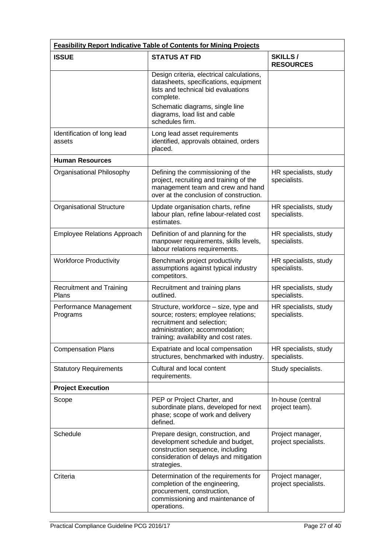| <b>Feasibility Report Indicative Table of Contents for Mining Projects</b> |                                                                                                                                                                                         |                                          |
|----------------------------------------------------------------------------|-----------------------------------------------------------------------------------------------------------------------------------------------------------------------------------------|------------------------------------------|
| <b>ISSUE</b>                                                               | <b>STATUS AT FID</b>                                                                                                                                                                    | <b>SKILLS/</b><br><b>RESOURCES</b>       |
|                                                                            | Design criteria, electrical calculations,<br>datasheets, specifications, equipment<br>lists and technical bid evaluations<br>complete.                                                  |                                          |
|                                                                            | Schematic diagrams, single line<br>diagrams, load list and cable<br>schedules firm.                                                                                                     |                                          |
| Identification of long lead<br>assets                                      | Long lead asset requirements<br>identified, approvals obtained, orders<br>placed.                                                                                                       |                                          |
| <b>Human Resources</b>                                                     |                                                                                                                                                                                         |                                          |
| Organisational Philosophy                                                  | Defining the commissioning of the<br>project, recruiting and training of the<br>management team and crew and hand<br>over at the conclusion of construction.                            | HR specialists, study<br>specialists.    |
| <b>Organisational Structure</b>                                            | Update organisation charts, refine<br>labour plan, refine labour-related cost<br>estimates.                                                                                             | HR specialists, study<br>specialists.    |
| <b>Employee Relations Approach</b>                                         | Definition of and planning for the<br>manpower requirements, skills levels,<br>labour relations requirements.                                                                           | HR specialists, study<br>specialists.    |
| <b>Workforce Productivity</b>                                              | Benchmark project productivity<br>assumptions against typical industry<br>competitors.                                                                                                  | HR specialists, study<br>specialists.    |
| <b>Recruitment and Training</b><br>Plans                                   | Recruitment and training plans<br>outlined.                                                                                                                                             | HR specialists, study<br>specialists.    |
| Performance Management<br>Programs                                         | Structure, workforce - size, type and<br>source; rosters; employee relations;<br>recruitment and selection;<br>administration; accommodation;<br>training; availability and cost rates. | HR specialists, study<br>specialists.    |
| <b>Compensation Plans</b>                                                  | Expatriate and local compensation<br>structures, benchmarked with industry.                                                                                                             | HR specialists, study<br>specialists.    |
| <b>Statutory Requirements</b>                                              | Cultural and local content<br>requirements.                                                                                                                                             | Study specialists.                       |
| <b>Project Execution</b>                                                   |                                                                                                                                                                                         |                                          |
| Scope                                                                      | PEP or Project Charter, and<br>subordinate plans, developed for next<br>phase; scope of work and delivery<br>defined.                                                                   | In-house (central<br>project team).      |
| Schedule                                                                   | Prepare design, construction, and<br>development schedule and budget,<br>construction sequence, including<br>consideration of delays and mitigation<br>strategies.                      | Project manager,<br>project specialists. |
| Criteria                                                                   | Determination of the requirements for<br>completion of the engineering,<br>procurement, construction,<br>commissioning and maintenance of<br>operations.                                | Project manager,<br>project specialists. |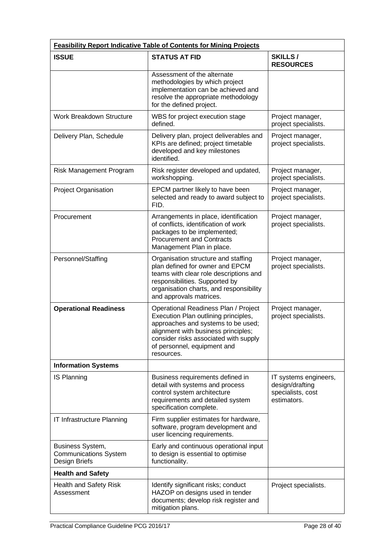| <b>Feasibility Report Indicative Table of Contents for Mining Projects</b> |                                                                                                                                                                                                                                                 |                                                                              |
|----------------------------------------------------------------------------|-------------------------------------------------------------------------------------------------------------------------------------------------------------------------------------------------------------------------------------------------|------------------------------------------------------------------------------|
| <b>ISSUE</b>                                                               | <b>STATUS AT FID</b>                                                                                                                                                                                                                            | <b>SKILLS/</b><br><b>RESOURCES</b>                                           |
|                                                                            | Assessment of the alternate<br>methodologies by which project<br>implementation can be achieved and<br>resolve the appropriate methodology<br>for the defined project.                                                                          |                                                                              |
| <b>Work Breakdown Structure</b>                                            | WBS for project execution stage<br>defined.                                                                                                                                                                                                     | Project manager,<br>project specialists.                                     |
| Delivery Plan, Schedule                                                    | Delivery plan, project deliverables and<br>KPIs are defined; project timetable<br>developed and key milestones<br>identified.                                                                                                                   | Project manager,<br>project specialists.                                     |
| Risk Management Program                                                    | Risk register developed and updated,<br>workshopping.                                                                                                                                                                                           | Project manager,<br>project specialists.                                     |
| Project Organisation                                                       | EPCM partner likely to have been<br>selected and ready to award subject to<br>FID.                                                                                                                                                              | Project manager,<br>project specialists.                                     |
| Procurement                                                                | Arrangements in place, identification<br>of conflicts, identification of work<br>packages to be implemented;<br><b>Procurement and Contracts</b><br>Management Plan in place.                                                                   | Project manager,<br>project specialists.                                     |
| Personnel/Staffing                                                         | Organisation structure and staffing<br>plan defined for owner and EPCM<br>teams with clear role descriptions and<br>responsibilities. Supported by<br>organisation charts, and responsibility<br>and approvals matrices.                        | Project manager,<br>project specialists.                                     |
| <b>Operational Readiness</b>                                               | Operational Readiness Plan / Project<br>Execution Plan outlining principles,<br>approaches and systems to be used;<br>alignment with business principles;<br>consider risks associated with supply<br>of personnel, equipment and<br>resources. | Project manager,<br>project specialists.                                     |
| <b>Information Systems</b>                                                 |                                                                                                                                                                                                                                                 |                                                                              |
| IS Planning                                                                | Business requirements defined in<br>detail with systems and process<br>control system architecture<br>requirements and detailed system<br>specification complete.                                                                               | IT systems engineers,<br>design/drafting<br>specialists, cost<br>estimators. |
| IT Infrastructure Planning                                                 | Firm supplier estimates for hardware,<br>software, program development and<br>user licencing requirements.                                                                                                                                      |                                                                              |
| Business System,<br><b>Communications System</b><br>Design Briefs          | Early and continuous operational input<br>to design is essential to optimise<br>functionality.                                                                                                                                                  |                                                                              |
| <b>Health and Safety</b>                                                   |                                                                                                                                                                                                                                                 |                                                                              |
| <b>Health and Safety Risk</b><br>Assessment                                | Identify significant risks; conduct<br>HAZOP on designs used in tender<br>documents; develop risk register and<br>mitigation plans.                                                                                                             | Project specialists.                                                         |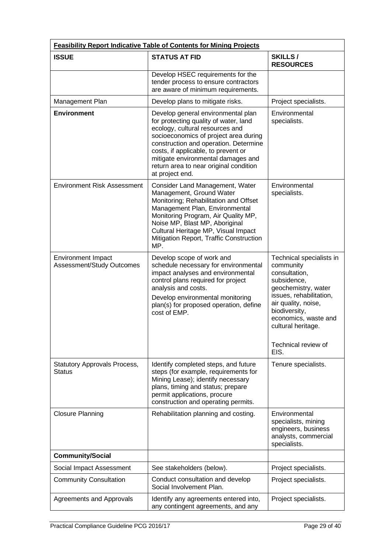| <b>Feasibility Report Indicative Table of Contents for Mining Projects</b> |                                                                                                                                                                                                                                                                                                                                            |                                                                                                                                                                                                                                              |
|----------------------------------------------------------------------------|--------------------------------------------------------------------------------------------------------------------------------------------------------------------------------------------------------------------------------------------------------------------------------------------------------------------------------------------|----------------------------------------------------------------------------------------------------------------------------------------------------------------------------------------------------------------------------------------------|
| <b>ISSUE</b>                                                               | <b>STATUS AT FID</b>                                                                                                                                                                                                                                                                                                                       | SKILLS/<br><b>RESOURCES</b>                                                                                                                                                                                                                  |
|                                                                            | Develop HSEC requirements for the<br>tender process to ensure contractors<br>are aware of minimum requirements.                                                                                                                                                                                                                            |                                                                                                                                                                                                                                              |
| Management Plan                                                            | Develop plans to mitigate risks.                                                                                                                                                                                                                                                                                                           | Project specialists.                                                                                                                                                                                                                         |
| <b>Environment</b>                                                         | Develop general environmental plan<br>for protecting quality of water, land<br>ecology, cultural resources and<br>socioeconomics of project area during<br>construction and operation. Determine<br>costs, if applicable, to prevent or<br>mitigate environmental damages and<br>return area to near original condition<br>at project end. | Environmental<br>specialists.                                                                                                                                                                                                                |
| <b>Environment Risk Assessment</b>                                         | Consider Land Management, Water<br>Management, Ground Water<br>Monitoring; Rehabilitation and Offset<br>Management Plan, Environmental<br>Monitoring Program, Air Quality MP,<br>Noise MP, Blast MP, Aboriginal<br>Cultural Heritage MP, Visual Impact<br>Mitigation Report, Traffic Construction<br>MP.                                   | Environmental<br>specialists.                                                                                                                                                                                                                |
| <b>Environment Impact</b><br>Assessment/Study Outcomes                     | Develop scope of work and<br>schedule necessary for environmental<br>impact analyses and environmental<br>control plans required for project<br>analysis and costs.<br>Develop environmental monitoring<br>plan(s) for proposed operation, define<br>cost of EMP.                                                                          | Technical specialists in<br>community<br>consultation,<br>subsidence,<br>geochemistry, water<br>issues, rehabilitation,<br>air quality, noise,<br>biodiversity,<br>economics, waste and<br>cultural heritage.<br>Technical review of<br>EIS. |
| <b>Statutory Approvals Process,</b><br><b>Status</b>                       | Identify completed steps, and future<br>steps (for example, requirements for<br>Mining Lease); identify necessary<br>plans, timing and status; prepare<br>permit applications, procure<br>construction and operating permits.                                                                                                              | Tenure specialists.                                                                                                                                                                                                                          |
| <b>Closure Planning</b>                                                    | Rehabilitation planning and costing.                                                                                                                                                                                                                                                                                                       | Environmental<br>specialists, mining<br>engineers, business<br>analysts, commercial<br>specialists.                                                                                                                                          |
| <b>Community/Social</b>                                                    |                                                                                                                                                                                                                                                                                                                                            |                                                                                                                                                                                                                                              |
| Social Impact Assessment                                                   | See stakeholders (below).                                                                                                                                                                                                                                                                                                                  | Project specialists.                                                                                                                                                                                                                         |
| <b>Community Consultation</b>                                              | Conduct consultation and develop<br>Social Involvement Plan.                                                                                                                                                                                                                                                                               | Project specialists.                                                                                                                                                                                                                         |
| Agreements and Approvals                                                   | Identify any agreements entered into,<br>any contingent agreements, and any                                                                                                                                                                                                                                                                | Project specialists.                                                                                                                                                                                                                         |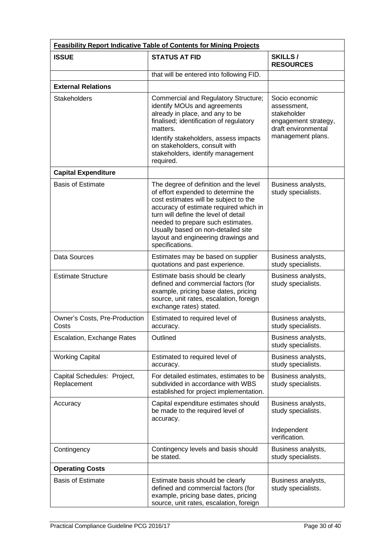| <b>Feasibility Report Indicative Table of Contents for Mining Projects</b> |                                                                                                                                                                                                                                                                                                                                               |                                                                                                                  |
|----------------------------------------------------------------------------|-----------------------------------------------------------------------------------------------------------------------------------------------------------------------------------------------------------------------------------------------------------------------------------------------------------------------------------------------|------------------------------------------------------------------------------------------------------------------|
| <b>ISSUE</b>                                                               | <b>STATUS AT FID</b>                                                                                                                                                                                                                                                                                                                          | <b>SKILLS/</b><br><b>RESOURCES</b>                                                                               |
|                                                                            | that will be entered into following FID.                                                                                                                                                                                                                                                                                                      |                                                                                                                  |
| <b>External Relations</b>                                                  |                                                                                                                                                                                                                                                                                                                                               |                                                                                                                  |
| <b>Stakeholders</b>                                                        | Commercial and Regulatory Structure;<br>identify MOUs and agreements<br>already in place, and any to be<br>finalised; identification of regulatory<br>matters.<br>Identify stakeholders, assess impacts<br>on stakeholders, consult with<br>stakeholders, identify management<br>required.                                                    | Socio economic<br>assessment.<br>stakeholder<br>engagement strategy,<br>draft environmental<br>management plans. |
| <b>Capital Expenditure</b>                                                 |                                                                                                                                                                                                                                                                                                                                               |                                                                                                                  |
| <b>Basis of Estimate</b>                                                   | The degree of definition and the level<br>of effort expended to determine the<br>cost estimates will be subject to the<br>accuracy of estimate required which in<br>turn will define the level of detail<br>needed to prepare such estimates.<br>Usually based on non-detailed site<br>layout and engineering drawings and<br>specifications. | Business analysts,<br>study specialists.                                                                         |
| Data Sources                                                               | Estimates may be based on supplier<br>quotations and past experience.                                                                                                                                                                                                                                                                         | Business analysts,<br>study specialists.                                                                         |
| <b>Estimate Structure</b>                                                  | Estimate basis should be clearly<br>defined and commercial factors (for<br>example, pricing base dates, pricing<br>source, unit rates, escalation, foreign<br>exchange rates) stated.                                                                                                                                                         | Business analysts,<br>study specialists.                                                                         |
| Owner's Costs, Pre-Production<br>Costs                                     | Estimated to required level of<br>accuracy.                                                                                                                                                                                                                                                                                                   | Business analysts,<br>study specialists.                                                                         |
| Escalation, Exchange Rates                                                 | Outlined                                                                                                                                                                                                                                                                                                                                      | Business analysts,<br>study specialists.                                                                         |
| <b>Working Capital</b>                                                     | Estimated to required level of<br>accuracy.                                                                                                                                                                                                                                                                                                   | Business analysts,<br>study specialists.                                                                         |
| Capital Schedules: Project,<br>Replacement                                 | For detailed estimates, estimates to be<br>subdivided in accordance with WBS<br>established for project implementation.                                                                                                                                                                                                                       | Business analysts,<br>study specialists.                                                                         |
| Accuracy                                                                   | Capital expenditure estimates should<br>be made to the required level of<br>accuracy.                                                                                                                                                                                                                                                         | Business analysts,<br>study specialists.<br>Independent<br>verification.                                         |
| Contingency                                                                | Contingency levels and basis should<br>be stated.                                                                                                                                                                                                                                                                                             | Business analysts,<br>study specialists.                                                                         |
| <b>Operating Costs</b>                                                     |                                                                                                                                                                                                                                                                                                                                               |                                                                                                                  |
| <b>Basis of Estimate</b>                                                   | Estimate basis should be clearly<br>defined and commercial factors (for<br>example, pricing base dates, pricing<br>source, unit rates, escalation, foreign                                                                                                                                                                                    | Business analysts,<br>study specialists.                                                                         |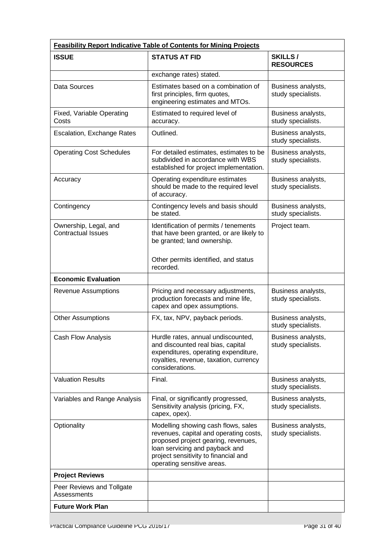| <b>Feasibility Report Indicative Table of Contents for Mining Projects</b> |                                                                                                                                                                                                                              |                                          |
|----------------------------------------------------------------------------|------------------------------------------------------------------------------------------------------------------------------------------------------------------------------------------------------------------------------|------------------------------------------|
| <b>ISSUE</b>                                                               | <b>STATUS AT FID</b>                                                                                                                                                                                                         | SKILLS/<br><b>RESOURCES</b>              |
|                                                                            | exchange rates) stated.                                                                                                                                                                                                      |                                          |
| Data Sources                                                               | Estimates based on a combination of<br>first principles, firm quotes,<br>engineering estimates and MTOs.                                                                                                                     | Business analysts,<br>study specialists. |
| Fixed, Variable Operating<br>Costs                                         | Estimated to required level of<br>accuracy.                                                                                                                                                                                  | Business analysts,<br>study specialists. |
| Escalation, Exchange Rates                                                 | Outlined.                                                                                                                                                                                                                    | Business analysts,<br>study specialists. |
| <b>Operating Cost Schedules</b>                                            | For detailed estimates, estimates to be<br>subdivided in accordance with WBS<br>established for project implementation.                                                                                                      | Business analysts,<br>study specialists. |
| Accuracy                                                                   | Operating expenditure estimates<br>should be made to the required level<br>of accuracy.                                                                                                                                      | Business analysts,<br>study specialists. |
| Contingency                                                                | Contingency levels and basis should<br>be stated.                                                                                                                                                                            | Business analysts,<br>study specialists. |
| Ownership, Legal, and<br><b>Contractual Issues</b>                         | Identification of permits / tenements<br>that have been granted, or are likely to<br>be granted; land ownership.<br>Other permits identified, and status                                                                     | Project team.                            |
|                                                                            | recorded.                                                                                                                                                                                                                    |                                          |
| <b>Economic Evaluation</b>                                                 |                                                                                                                                                                                                                              |                                          |
| <b>Revenue Assumptions</b>                                                 | Pricing and necessary adjustments,<br>production forecasts and mine life,<br>capex and opex assumptions.                                                                                                                     | Business analysts,<br>study specialists. |
| <b>Other Assumptions</b>                                                   | FX, tax, NPV, payback periods.                                                                                                                                                                                               | Business analysts,<br>study specialists. |
| Cash Flow Analysis                                                         | Hurdle rates, annual undiscounted,<br>and discounted real bias, capital<br>expenditures, operating expenditure,<br>royalties, revenue, taxation, currency<br>considerations.                                                 | Business analysts,<br>study specialists. |
| <b>Valuation Results</b>                                                   | Final.                                                                                                                                                                                                                       | Business analysts,<br>study specialists. |
| Variables and Range Analysis                                               | Final, or significantly progressed,<br>Sensitivity analysis (pricing, FX,<br>capex, opex).                                                                                                                                   | Business analysts,<br>study specialists. |
| Optionality                                                                | Modelling showing cash flows, sales<br>revenues, capital and operating costs,<br>proposed project gearing, revenues,<br>loan servicing and payback and<br>project sensitivity to financial and<br>operating sensitive areas. | Business analysts,<br>study specialists. |
| <b>Project Reviews</b>                                                     |                                                                                                                                                                                                                              |                                          |
| Peer Reviews and Tollgate<br>Assessments                                   |                                                                                                                                                                                                                              |                                          |
| <b>Future Work Plan</b>                                                    |                                                                                                                                                                                                                              |                                          |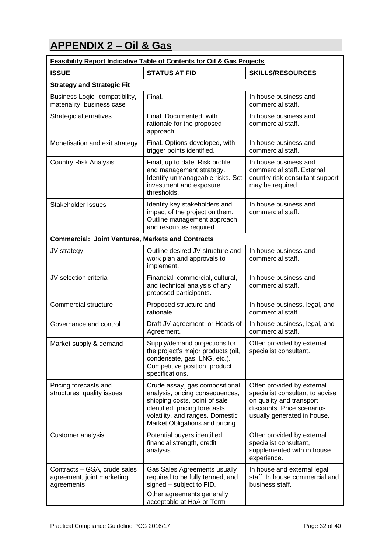## **APPENDIX 2 – Oil & Gas**

| <b>Feasibility Report Indicative Table of Contents for Oil &amp; Gas Projects</b> |                                                                                                                                                                                                             |                                                                                                                                                        |
|-----------------------------------------------------------------------------------|-------------------------------------------------------------------------------------------------------------------------------------------------------------------------------------------------------------|--------------------------------------------------------------------------------------------------------------------------------------------------------|
| <b>ISSUE</b>                                                                      | <b>STATUS AT FID</b>                                                                                                                                                                                        | <b>SKILLS/RESOURCES</b>                                                                                                                                |
| <b>Strategy and Strategic Fit</b>                                                 |                                                                                                                                                                                                             |                                                                                                                                                        |
| Business Logic- compatibility,<br>materiality, business case                      | Final.                                                                                                                                                                                                      | In house business and<br>commercial staff.                                                                                                             |
| Strategic alternatives                                                            | Final. Documented, with<br>rationale for the proposed<br>approach.                                                                                                                                          | In house business and<br>commercial staff.                                                                                                             |
| Monetisation and exit strategy                                                    | Final. Options developed, with<br>trigger points identified.                                                                                                                                                | In house business and<br>commercial staff.                                                                                                             |
| <b>Country Risk Analysis</b>                                                      | Final, up to date. Risk profile<br>and management strategy.<br>Identify unmanageable risks. Set<br>investment and exposure<br>thresholds.                                                                   | In house business and<br>commercial staff. External<br>country risk consultant support<br>may be required.                                             |
| <b>Stakeholder Issues</b>                                                         | Identify key stakeholders and<br>impact of the project on them.<br>Outline management approach<br>and resources required.                                                                                   | In house business and<br>commercial staff.                                                                                                             |
| <b>Commercial: Joint Ventures, Markets and Contracts</b>                          |                                                                                                                                                                                                             |                                                                                                                                                        |
| JV strategy                                                                       | Outline desired JV structure and<br>work plan and approvals to<br>implement.                                                                                                                                | In house business and<br>commercial staff.                                                                                                             |
| JV selection criteria                                                             | Financial, commercial, cultural,<br>and technical analysis of any<br>proposed participants.                                                                                                                 | In house business and<br>commercial staff.                                                                                                             |
| Commercial structure                                                              | Proposed structure and<br>rationale.                                                                                                                                                                        | In house business, legal, and<br>commercial staff.                                                                                                     |
| Governance and control                                                            | Draft JV agreement, or Heads of<br>Agreement.                                                                                                                                                               | In house business, legal, and<br>commercial staff.                                                                                                     |
| Market supply & demand                                                            | Supply/demand projections for<br>the project's major products (oil,<br>condensate, gas, LNG, etc.).<br>Competitive position, product<br>specifications.                                                     | Often provided by external<br>specialist consultant.                                                                                                   |
| Pricing forecasts and<br>structures, quality issues                               | Crude assay, gas compositional<br>analysis, pricing consequences,<br>shipping costs, point of sale<br>identified, pricing forecasts,<br>volatility, and ranges. Domestic<br>Market Obligations and pricing. | Often provided by external<br>specialist consultant to advise<br>on quality and transport<br>discounts. Price scenarios<br>usually generated in house. |
| Customer analysis                                                                 | Potential buyers identified,<br>financial strength, credit<br>analysis.                                                                                                                                     | Often provided by external<br>specialist consultant,<br>supplemented with in house<br>experience.                                                      |
| Contracts - GSA, crude sales<br>agreement, joint marketing<br>agreements          | Gas Sales Agreements usually<br>required to be fully termed, and<br>signed - subject to FID.<br>Other agreements generally<br>acceptable at HoA or Term                                                     | In house and external legal<br>staff. In house commercial and<br>business staff.                                                                       |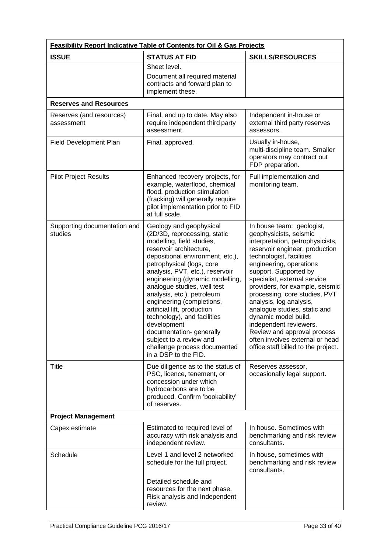| <b>Feasibility Report Indicative Table of Contents for Oil &amp; Gas Projects</b> |                                                                                                                                                                                                                                                                                                                                                                                                                                                                                                                                             |                                                                                                                                                                                                                                                                                                                                                                                                                                                                                                                                     |
|-----------------------------------------------------------------------------------|---------------------------------------------------------------------------------------------------------------------------------------------------------------------------------------------------------------------------------------------------------------------------------------------------------------------------------------------------------------------------------------------------------------------------------------------------------------------------------------------------------------------------------------------|-------------------------------------------------------------------------------------------------------------------------------------------------------------------------------------------------------------------------------------------------------------------------------------------------------------------------------------------------------------------------------------------------------------------------------------------------------------------------------------------------------------------------------------|
| <b>ISSUE</b>                                                                      | <b>STATUS AT FID</b>                                                                                                                                                                                                                                                                                                                                                                                                                                                                                                                        | <b>SKILLS/RESOURCES</b>                                                                                                                                                                                                                                                                                                                                                                                                                                                                                                             |
|                                                                                   | Sheet level.<br>Document all required material<br>contracts and forward plan to<br>implement these.                                                                                                                                                                                                                                                                                                                                                                                                                                         |                                                                                                                                                                                                                                                                                                                                                                                                                                                                                                                                     |
| <b>Reserves and Resources</b>                                                     |                                                                                                                                                                                                                                                                                                                                                                                                                                                                                                                                             |                                                                                                                                                                                                                                                                                                                                                                                                                                                                                                                                     |
| Reserves (and resources)<br>assessment                                            | Final, and up to date. May also<br>require independent third party<br>assessment.                                                                                                                                                                                                                                                                                                                                                                                                                                                           | Independent in-house or<br>external third party reserves<br>assessors.                                                                                                                                                                                                                                                                                                                                                                                                                                                              |
| Field Development Plan                                                            | Final, approved.                                                                                                                                                                                                                                                                                                                                                                                                                                                                                                                            | Usually in-house,<br>multi-discipline team. Smaller<br>operators may contract out<br>FDP preparation.                                                                                                                                                                                                                                                                                                                                                                                                                               |
| <b>Pilot Project Results</b>                                                      | Enhanced recovery projects, for<br>example, waterflood, chemical<br>flood, production stimulation<br>(fracking) will generally require<br>pilot implementation prior to FID<br>at full scale.                                                                                                                                                                                                                                                                                                                                               | Full implementation and<br>monitoring team.                                                                                                                                                                                                                                                                                                                                                                                                                                                                                         |
| Supporting documentation and<br>studies                                           | Geology and geophysical<br>(2D/3D, reprocessing, static<br>modelling, field studies,<br>reservoir architecture,<br>depositional environment, etc.),<br>petrophysical (logs, core<br>analysis, PVT, etc.), reservoir<br>engineering (dynamic modelling,<br>analogue studies, well test<br>analysis, etc.), petroleum<br>engineering (completions,<br>artificial lift, production<br>technology), and facilities<br>development<br>documentation-generally<br>subject to a review and<br>challenge process documented<br>in a DSP to the FID. | In house team: geologist,<br>geophysicists, seismic<br>interpretation, petrophysicists,<br>reservoir engineer, production<br>technologist, facilities<br>engineering, operations<br>support. Supported by<br>specialist, external service<br>providers, for example, seismic<br>processing, core studies, PVT<br>analysis, log analysis,<br>analogue studies, static and<br>dynamic model build,<br>independent reviewers.<br>Review and approval process<br>often involves external or head<br>office staff billed to the project. |
| <b>Title</b>                                                                      | Due diligence as to the status of<br>PSC, licence, tenement, or<br>concession under which<br>hydrocarbons are to be<br>produced. Confirm 'bookability'<br>of reserves.                                                                                                                                                                                                                                                                                                                                                                      | Reserves assessor,<br>occasionally legal support.                                                                                                                                                                                                                                                                                                                                                                                                                                                                                   |
| <b>Project Management</b>                                                         |                                                                                                                                                                                                                                                                                                                                                                                                                                                                                                                                             |                                                                                                                                                                                                                                                                                                                                                                                                                                                                                                                                     |
| Capex estimate                                                                    | Estimated to required level of<br>accuracy with risk analysis and<br>independent review.                                                                                                                                                                                                                                                                                                                                                                                                                                                    | In house. Sometimes with<br>benchmarking and risk review<br>consultants.                                                                                                                                                                                                                                                                                                                                                                                                                                                            |
| Schedule                                                                          | Level 1 and level 2 networked<br>schedule for the full project.<br>Detailed schedule and<br>resources for the next phase.<br>Risk analysis and Independent<br>review.                                                                                                                                                                                                                                                                                                                                                                       | In house, sometimes with<br>benchmarking and risk review<br>consultants.                                                                                                                                                                                                                                                                                                                                                                                                                                                            |
|                                                                                   |                                                                                                                                                                                                                                                                                                                                                                                                                                                                                                                                             |                                                                                                                                                                                                                                                                                                                                                                                                                                                                                                                                     |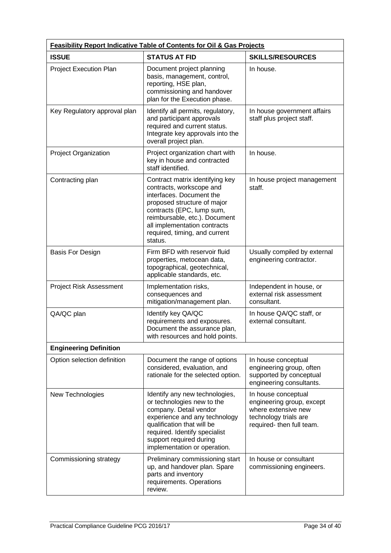| <b>Feasibility Report Indicative Table of Contents for Oil &amp; Gas Projects</b> |                                                                                                                                                                                                                                                                  |                                                                                                                               |
|-----------------------------------------------------------------------------------|------------------------------------------------------------------------------------------------------------------------------------------------------------------------------------------------------------------------------------------------------------------|-------------------------------------------------------------------------------------------------------------------------------|
| <b>ISSUE</b>                                                                      | <b>STATUS AT FID</b>                                                                                                                                                                                                                                             | <b>SKILLS/RESOURCES</b>                                                                                                       |
| <b>Project Execution Plan</b>                                                     | Document project planning<br>basis, management, control,<br>reporting, HSE plan,<br>commissioning and handover<br>plan for the Execution phase.                                                                                                                  | In house.                                                                                                                     |
| Key Regulatory approval plan                                                      | Identify all permits, regulatory,<br>and participant approvals<br>required and current status.<br>Integrate key approvals into the<br>overall project plan.                                                                                                      | In house government affairs<br>staff plus project staff.                                                                      |
| Project Organization                                                              | Project organization chart with<br>key in house and contracted<br>staff identified.                                                                                                                                                                              | In house.                                                                                                                     |
| Contracting plan                                                                  | Contract matrix identifying key<br>contracts, workscope and<br>interfaces. Document the<br>proposed structure of major<br>contracts (EPC, lump sum,<br>reimbursable, etc.). Document<br>all implementation contracts<br>required, timing, and current<br>status. | In house project management<br>staff.                                                                                         |
| <b>Basis For Design</b>                                                           | Firm BFD with reservoir fluid<br>properties, metocean data,<br>topographical, geotechnical,<br>applicable standards, etc.                                                                                                                                        | Usually compiled by external<br>engineering contractor.                                                                       |
| <b>Project Risk Assessment</b>                                                    | Implementation risks,<br>consequences and<br>mitigation/management plan.                                                                                                                                                                                         | Independent in house, or<br>external risk assessment<br>consultant.                                                           |
| QA/QC plan                                                                        | Identify key QA/QC<br>requirements and exposures.<br>Document the assurance plan,<br>with resources and hold points.                                                                                                                                             | In house QA/QC staff, or<br>external consultant.                                                                              |
| <b>Engineering Definition</b>                                                     |                                                                                                                                                                                                                                                                  |                                                                                                                               |
| Option selection definition                                                       | Document the range of options<br>considered, evaluation, and<br>rationale for the selected option.                                                                                                                                                               | In house conceptual<br>engineering group, often<br>supported by conceptual<br>engineering consultants.                        |
| New Technologies                                                                  | Identify any new technologies,<br>or technologies new to the<br>company. Detail vendor<br>experience and any technology<br>qualification that will be<br>required. Identify specialist<br>support required during<br>implementation or operation.                | In house conceptual<br>engineering group, except<br>where extensive new<br>technology trials are<br>required- then full team. |
| Commissioning strategy                                                            | Preliminary commissioning start<br>up, and handover plan. Spare<br>parts and inventory<br>requirements. Operations<br>review.                                                                                                                                    | In house or consultant<br>commissioning engineers.                                                                            |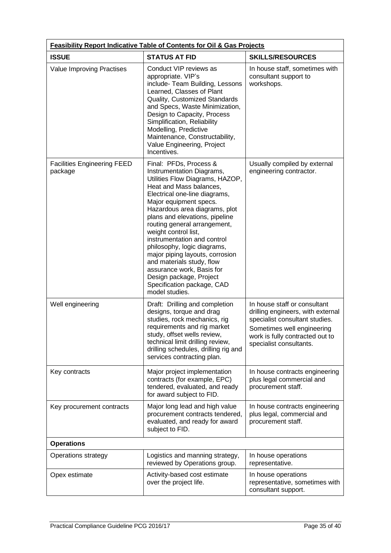| Feasibility Report Indicative Table of Contents for Oil & Gas Projects |                                                                                                                                                                                                                                                                                                                                                                                                                                                                                                                                               |                                                                                                                                                                                                 |
|------------------------------------------------------------------------|-----------------------------------------------------------------------------------------------------------------------------------------------------------------------------------------------------------------------------------------------------------------------------------------------------------------------------------------------------------------------------------------------------------------------------------------------------------------------------------------------------------------------------------------------|-------------------------------------------------------------------------------------------------------------------------------------------------------------------------------------------------|
| <b>ISSUE</b>                                                           | <b>STATUS AT FID</b>                                                                                                                                                                                                                                                                                                                                                                                                                                                                                                                          | <b>SKILLS/RESOURCES</b>                                                                                                                                                                         |
| Value Improving Practises                                              | Conduct VIP reviews as<br>appropriate. VIP's<br>include- Team Building, Lessons<br>Learned, Classes of Plant<br>Quality, Customized Standards<br>and Specs, Waste Minimization,<br>Design to Capacity, Process<br>Simplification, Reliability<br>Modelling, Predictive<br>Maintenance, Constructability,<br>Value Engineering, Project<br>Incentives.                                                                                                                                                                                         | In house staff, sometimes with<br>consultant support to<br>workshops.                                                                                                                           |
| <b>Facilities Engineering FEED</b><br>package                          | Final: PFDs, Process &<br>Instrumentation Diagrams,<br>Utilities Flow Diagrams, HAZOP,<br>Heat and Mass balances,<br>Electrical one-line diagrams,<br>Major equipment specs.<br>Hazardous area diagrams, plot<br>plans and elevations, pipeline<br>routing general arrangement,<br>weight control list,<br>instrumentation and control<br>philosophy, logic diagrams,<br>major piping layouts, corrosion<br>and materials study, flow<br>assurance work, Basis for<br>Design package, Project<br>Specification package, CAD<br>model studies. | Usually compiled by external<br>engineering contractor.                                                                                                                                         |
| Well engineering                                                       | Draft: Drilling and completion<br>designs, torque and drag<br>studies, rock mechanics, rig<br>requirements and rig market<br>study, offset wells review,<br>technical limit drilling review,<br>drilling schedules, drilling rig and<br>services contracting plan.                                                                                                                                                                                                                                                                            | In house staff or consultant<br>drilling engineers, with external<br>specialist consultant studies.<br>Sometimes well engineering<br>work is fully contracted out to<br>specialist consultants. |
| Key contracts                                                          | Major project implementation<br>contracts (for example, EPC)<br>tendered, evaluated, and ready<br>for award subject to FID.                                                                                                                                                                                                                                                                                                                                                                                                                   | In house contracts engineering<br>plus legal commercial and<br>procurement staff.                                                                                                               |
| Key procurement contracts                                              | Major long lead and high value<br>procurement contracts tendered,<br>evaluated, and ready for award<br>subject to FID.                                                                                                                                                                                                                                                                                                                                                                                                                        | In house contracts engineering<br>plus legal, commercial and<br>procurement staff.                                                                                                              |
| <b>Operations</b>                                                      |                                                                                                                                                                                                                                                                                                                                                                                                                                                                                                                                               |                                                                                                                                                                                                 |
| <b>Operations strategy</b>                                             | Logistics and manning strategy,<br>reviewed by Operations group.                                                                                                                                                                                                                                                                                                                                                                                                                                                                              | In house operations<br>representative.                                                                                                                                                          |
| Opex estimate                                                          | Activity-based cost estimate<br>over the project life.                                                                                                                                                                                                                                                                                                                                                                                                                                                                                        | In house operations<br>representative, sometimes with<br>consultant support.                                                                                                                    |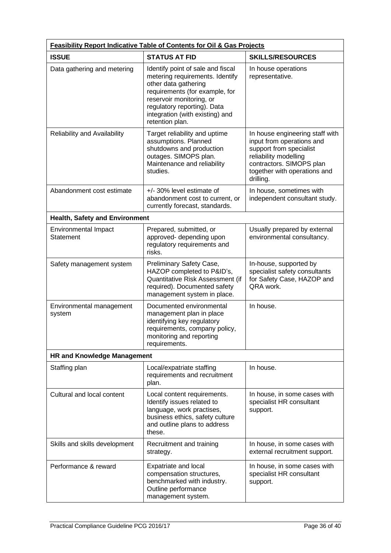| Feasibility Report Indicative Table of Contents for Oil & Gas Projects |                                                                                                                                                                                                                                                 |                                                                                                                                                                                           |
|------------------------------------------------------------------------|-------------------------------------------------------------------------------------------------------------------------------------------------------------------------------------------------------------------------------------------------|-------------------------------------------------------------------------------------------------------------------------------------------------------------------------------------------|
| <b>ISSUE</b>                                                           | <b>STATUS AT FID</b>                                                                                                                                                                                                                            | <b>SKILLS/RESOURCES</b>                                                                                                                                                                   |
| Data gathering and metering                                            | Identify point of sale and fiscal<br>metering requirements. Identify<br>other data gathering<br>requirements (for example, for<br>reservoir monitoring, or<br>regulatory reporting). Data<br>integration (with existing) and<br>retention plan. | In house operations<br>representative.                                                                                                                                                    |
| Reliability and Availability                                           | Target reliability and uptime<br>assumptions. Planned<br>shutdowns and production<br>outages. SIMOPS plan.<br>Maintenance and reliability<br>studies.                                                                                           | In house engineering staff with<br>input from operations and<br>support from specialist<br>reliability modelling<br>contractors. SIMOPS plan<br>together with operations and<br>drilling. |
| Abandonment cost estimate                                              | +/- 30% level estimate of<br>abandonment cost to current, or<br>currently forecast, standards.                                                                                                                                                  | In house, sometimes with<br>independent consultant study.                                                                                                                                 |
| <b>Health, Safety and Environment</b>                                  |                                                                                                                                                                                                                                                 |                                                                                                                                                                                           |
| <b>Environmental Impact</b><br><b>Statement</b>                        | Prepared, submitted, or<br>approved- depending upon<br>regulatory requirements and<br>risks.                                                                                                                                                    | Usually prepared by external<br>environmental consultancy.                                                                                                                                |
| Safety management system                                               | Preliminary Safety Case,<br>HAZOP completed to P&ID's,<br>Quantitative Risk Assessment (if<br>required). Documented safety<br>management system in place.                                                                                       | In-house, supported by<br>specialist safety consultants<br>for Safety Case, HAZOP and<br>QRA work.                                                                                        |
| Environmental management<br>system                                     | Documented environmental<br>management plan in place<br>identifying key regulatory<br>requirements, company policy,<br>monitoring and reporting<br>requirements.                                                                                | In house.                                                                                                                                                                                 |
| <b>HR and Knowledge Management</b>                                     |                                                                                                                                                                                                                                                 |                                                                                                                                                                                           |
| Staffing plan                                                          | Local/expatriate staffing<br>requirements and recruitment<br>plan.                                                                                                                                                                              | In house.                                                                                                                                                                                 |
| Cultural and local content                                             | Local content requirements.<br>Identify issues related to<br>language, work practises,<br>business ethics, safety culture<br>and outline plans to address<br>these.                                                                             | In house, in some cases with<br>specialist HR consultant<br>support.                                                                                                                      |
| Skills and skills development                                          | Recruitment and training<br>strategy.                                                                                                                                                                                                           | In house, in some cases with<br>external recruitment support.                                                                                                                             |
| Performance & reward                                                   | Expatriate and local<br>compensation structures,<br>benchmarked with industry.<br>Outline performance<br>management system.                                                                                                                     | In house, in some cases with<br>specialist HR consultant<br>support.                                                                                                                      |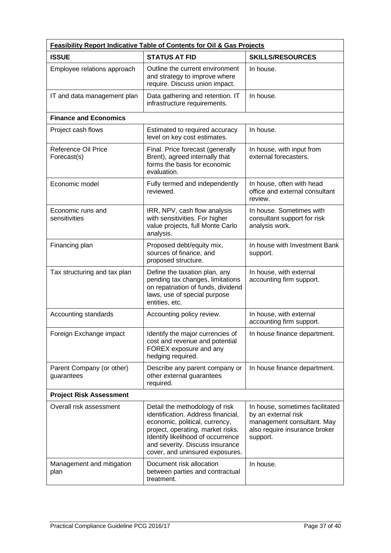| Feasibility Report Indicative Table of Contents for Oil & Gas Projects |                                                                                                                                                                                                                                                        |                                                                                                                                   |
|------------------------------------------------------------------------|--------------------------------------------------------------------------------------------------------------------------------------------------------------------------------------------------------------------------------------------------------|-----------------------------------------------------------------------------------------------------------------------------------|
| <b>ISSUE</b>                                                           | <b>STATUS AT FID</b>                                                                                                                                                                                                                                   | <b>SKILLS/RESOURCES</b>                                                                                                           |
| Employee relations approach                                            | Outline the current environment<br>and strategy to improve where<br>require. Discuss union impact.                                                                                                                                                     | In house.                                                                                                                         |
| IT and data management plan                                            | Data gathering and retention. IT<br>infrastructure requirements.                                                                                                                                                                                       | In house.                                                                                                                         |
| <b>Finance and Economics</b>                                           |                                                                                                                                                                                                                                                        |                                                                                                                                   |
| Project cash flows                                                     | Estimated to required accuracy<br>level on key cost estimates.                                                                                                                                                                                         | In house.                                                                                                                         |
| <b>Reference Oil Price</b><br>Forecast(s)                              | Final. Price forecast (generally<br>Brent), agreed internally that<br>forms the basis for economic<br>evaluation.                                                                                                                                      | In house, with input from<br>external forecasters.                                                                                |
| Economic model                                                         | Fully termed and independently<br>reviewed.                                                                                                                                                                                                            | In house, often with head<br>office and external consultant<br>review.                                                            |
| Economic runs and<br>sensitivities                                     | IRR, NPV, cash flow analysis<br>with sensitivities. For higher<br>value projects, full Monte Carlo<br>analysis.                                                                                                                                        | In house. Sometimes with<br>consultant support for risk<br>analysis work.                                                         |
| Financing plan                                                         | Proposed debt/equity mix,<br>sources of finance, and<br>proposed structure.                                                                                                                                                                            | In house with Investment Bank<br>support.                                                                                         |
| Tax structuring and tax plan                                           | Define the taxation plan, any<br>pending tax changes, limitations<br>on repatriation of funds, dividend<br>laws, use of special purpose<br>entities, etc.                                                                                              | In house, with external<br>accounting firm support.                                                                               |
| Accounting standards                                                   | Accounting policy review.                                                                                                                                                                                                                              | In house, with external<br>accounting firm support.                                                                               |
| Foreign Exchange impact                                                | Identify the major currencies of<br>cost and revenue and potential<br>FOREX exposure and any<br>hedging required.                                                                                                                                      | In house finance department.                                                                                                      |
| Parent Company (or other)<br>guarantees                                | Describe any parent company or<br>other external guarantees<br>required.                                                                                                                                                                               | In house finance department.                                                                                                      |
| <b>Project Risk Assessment</b>                                         |                                                                                                                                                                                                                                                        |                                                                                                                                   |
| Overall risk assessment                                                | Detail the methodology of risk<br>identification. Address financial,<br>economic, political, currency,<br>project, operating, market risks.<br>Identify likelihood of occurrence<br>and severity. Discuss insurance<br>cover, and uninsured exposures. | In house, sometimes facilitated<br>by an external risk<br>management consultant. May<br>also require insurance broker<br>support. |
| Management and mitigation<br>plan                                      | Document risk allocation<br>between parties and contractual<br>treatment.                                                                                                                                                                              | In house.                                                                                                                         |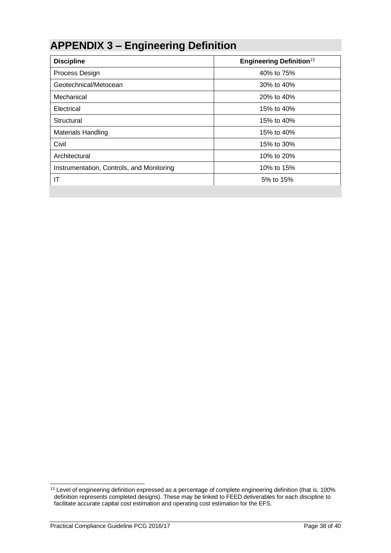# **APPENDIX 3 – Engineering Definition**

| <b>Discipline</b>                         | <b>Engineering Definition</b> <sup>13</sup> |
|-------------------------------------------|---------------------------------------------|
| Process Design                            | 40% to 75%                                  |
| Geotechnical/Metocean                     | 30% to 40%                                  |
| Mechanical                                | 20% to 40%                                  |
| Electrical                                | 15% to 40%                                  |
| Structural                                | 15% to 40%                                  |
| <b>Materials Handling</b>                 | 15% to 40%                                  |
| Civil                                     | 15% to 30%                                  |
| Architectural                             | 10% to 20%                                  |
| Instrumentation, Controls, and Monitoring | 10% to 15%                                  |
| ΙT                                        | 5% to 15%                                   |

<sup>&</sup>lt;sup>13</sup> Level of engineering definition expressed as a percentage of complete engineering definition (that is, 100% definition represents completed designs). These may be linked to FEED deliverables for each discipline to facilitate accurate capital cost estimation and operating cost estimation for the EFS.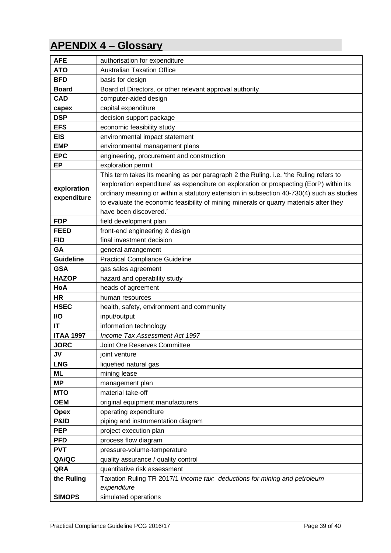## **APENDIX 4 – Glossary**

| <b>AFE</b>          | authorisation for expenditure                                                            |
|---------------------|------------------------------------------------------------------------------------------|
| <b>ATO</b>          | <b>Australian Taxation Office</b>                                                        |
| <b>BFD</b>          | basis for design                                                                         |
| <b>Board</b>        | Board of Directors, or other relevant approval authority                                 |
| <b>CAD</b>          | computer-aided design                                                                    |
| capex               | capital expenditure                                                                      |
| <b>DSP</b>          | decision support package                                                                 |
| <b>EFS</b>          | economic feasibility study                                                               |
| <b>EIS</b>          | environmental impact statement                                                           |
| <b>EMP</b>          | environmental management plans                                                           |
| <b>EPC</b>          | engineering, procurement and construction                                                |
| <b>EP</b>           | exploration permit                                                                       |
|                     | This term takes its meaning as per paragraph 2 the Ruling. i.e. 'the Ruling refers to    |
| exploration         | 'exploration expenditure' as expenditure on exploration or prospecting (EorP) within its |
| expenditure         | ordinary meaning or within a statutory extension in subsection 40-730(4) such as studies |
|                     | to evaluate the economic feasibility of mining minerals or quarry materials after they   |
|                     | have been discovered.'                                                                   |
| <b>FDP</b>          | field development plan                                                                   |
| <b>FEED</b>         | front-end engineering & design                                                           |
| <b>FID</b>          | final investment decision                                                                |
| GA                  | general arrangement                                                                      |
| <b>Guideline</b>    | <b>Practical Compliance Guideline</b>                                                    |
| <b>GSA</b>          | gas sales agreement                                                                      |
| <b>HAZOP</b>        | hazard and operability study                                                             |
| HoA                 | heads of agreement                                                                       |
| <b>HR</b>           | human resources                                                                          |
| <b>HSEC</b>         | health, safety, environment and community                                                |
| I/O                 | input/output                                                                             |
| IT                  | information technology                                                                   |
| <b>ITAA 1997</b>    | Income Tax Assessment Act 1997                                                           |
| <b>JORC</b>         | <b>Joint Ore Reserves Committee</b>                                                      |
| JV                  | joint venture                                                                            |
| <b>LNG</b>          | liquefied natural gas                                                                    |
| <b>ML</b>           | mining lease                                                                             |
| <b>MP</b>           | management plan<br>material take-off                                                     |
| <b>MTO</b>          |                                                                                          |
| <b>OEM</b>          | original equipment manufacturers<br>operating expenditure                                |
| <b>Opex</b><br>P&ID | piping and instrumentation diagram                                                       |
| <b>PEP</b>          | project execution plan                                                                   |
| <b>PFD</b>          |                                                                                          |
| <b>PVT</b>          | process flow diagram<br>pressure-volume-temperature                                      |
| QA/QC               |                                                                                          |
| QRA                 | quality assurance / quality control<br>quantitative risk assessment                      |
| the Ruling          | Taxation Ruling TR 2017/1 Income tax: deductions for mining and petroleum                |
|                     | expenditure                                                                              |
| <b>SIMOPS</b>       | simulated operations                                                                     |
|                     |                                                                                          |